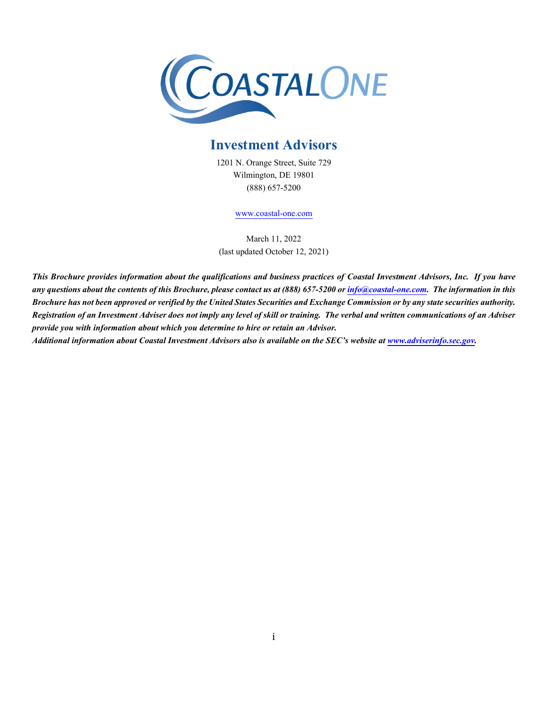

# **Investment Advisors**

1201 N. Orange Street, Suite 729 Wilmington, DE 19801 (888) 657-5200

[www.coastal-one.com](http://www.coastal-one.com/)

March 11, 2022 (last updated October 12, 2021)

*This Brochure provides information about the qualifications and business practices of Coastal Investment Advisors, Inc. If you have any questions about the contents of this Brochure, please contact us at (888) 657-5200 o[r info@coastal-one.com.](mailto:info@coastal-one.com) The information in this Brochure has not been approved or verified by the United States Securities and Exchange Commission or by any state securities authority. Registration of an Investment Adviser does not imply any level of skill or training. The verbal and written communications of an Adviser provide you with information about which you determine to hire or retain an Advisor.* 

*Additional information about Coastal Investment Advisors also is available on the SEC's website at [www.adviserinfo.sec.gov.](http://www.adviserinfo.sec.gov/)*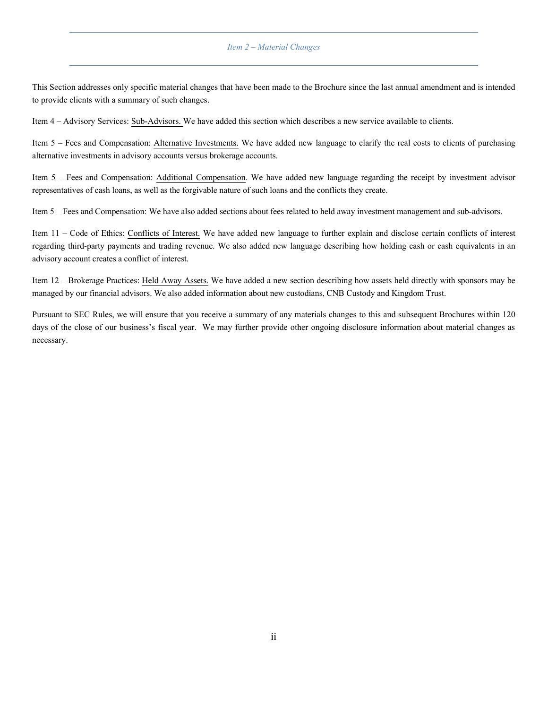### *Item 2 – Material Changes*

<span id="page-1-0"></span>This Section addresses only specific material changes that have been made to the Brochure since the last annual amendment and is intended to provide clients with a summary of such changes.

Item 4 – Advisory Services: Sub-Advisors. We have added this section which describes a new service available to clients.

Item 5 – Fees and Compensation: Alternative Investments. We have added new language to clarify the real costs to clients of purchasing alternative investments in advisory accounts versus brokerage accounts.

Item 5 – Fees and Compensation: Additional Compensation. We have added new language regarding the receipt by investment advisor representatives of cash loans, as well as the forgivable nature of such loans and the conflicts they create.

Item 5 – Fees and Compensation: We have also added sectionsabout fees related to held away investment management and sub-advisors.

Item 11 – Code of Ethics: Conflicts of Interest. We have added new language to further explain and disclose certain conflicts of interest regarding third-party payments and trading revenue. We also added new language describing how holding cash or cash equivalents in an advisory account creates a conflict of interest.

Item 12 – Brokerage Practices: Held Away Assets. We have added a new section describing how assets held directly with sponsors may be managed by our financial advisors. We also added information about new custodians, CNB Custody and Kingdom Trust.

Pursuant to SEC Rules, we will ensure that you receive a summary of any materials changes to this and subsequent Brochures within 120 days of the close of our business's fiscal year. We may further provide other ongoing disclosure information about material changes as necessary.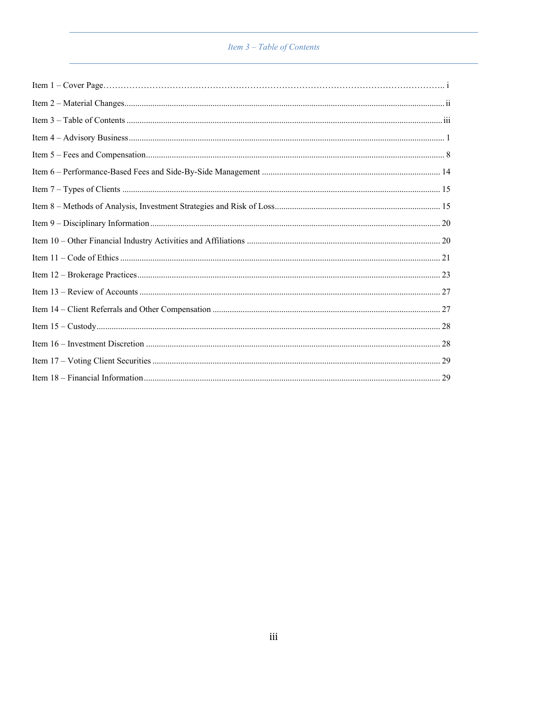# Item 3 – Table of Contents

<span id="page-2-1"></span><span id="page-2-0"></span>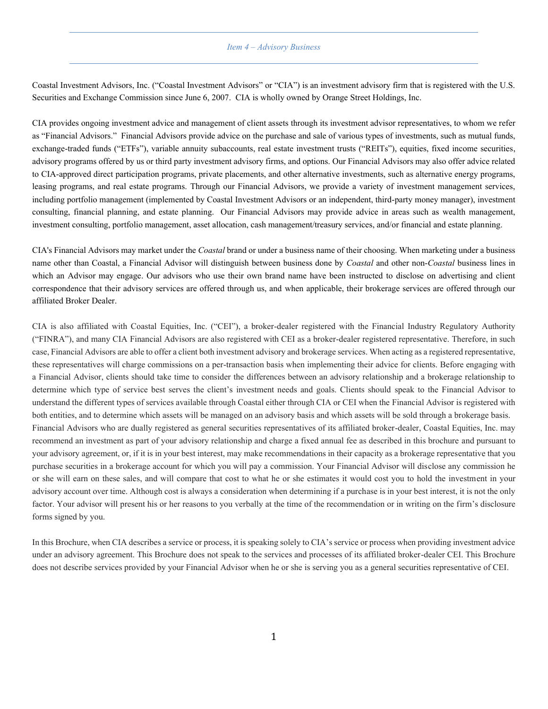### *Item 4 – Advisory Business*

Coastal Investment Advisors, Inc. ("Coastal Investment Advisors" or "CIA") is an investment advisory firm that is registered with the U.S. Securities and Exchange Commission since June 6, 2007. CIA is wholly owned by Orange Street Holdings, Inc.

CIA provides ongoing investment advice and management of client assets through its investment advisor representatives, to whom we refer as "Financial Advisors." Financial Advisors provide advice on the purchase and sale of various types of investments, such as mutual funds, exchange-traded funds ("ETFs"), variable annuity subaccounts, real estate investment trusts ("REITs"), equities, fixed income securities, advisory programs offered by us or third party investment advisory firms, and options. Our Financial Advisors may also offer advice related to CIA-approved direct participation programs, private placements, and other alternative investments, such as alternative energy programs, leasing programs, and real estate programs. Through our Financial Advisors, we provide a variety of investment management services, including portfolio management (implemented by Coastal Investment Advisors or an independent, third-party money manager), investment consulting, financial planning, and estate planning. Our Financial Advisors may provide advice in areas such as wealth management, investment consulting, portfolio management, asset allocation, cash management/treasury services, and/or financial and estate planning.

CIA's Financial Advisors may market under the *Coastal* brand or under a business name of their choosing. When marketing under a business name other than Coastal, a Financial Advisor will distinguish between business done by *Coastal* and other non-*Coastal* business lines in which an Advisor may engage. Our advisors who use their own brand name have been instructed to disclose on advertising and client correspondence that their advisory services are offered through us, and when applicable, their brokerage services are offered through our affiliated Broker Dealer.

CIA is also affiliated with Coastal Equities, Inc. ("CEI"), a broker-dealer registered with the Financial Industry Regulatory Authority ("FINRA"), and many CIA Financial Advisors are also registered with CEI as a broker-dealer registered representative. Therefore, in such case, Financial Advisors are able to offer a client both investment advisory and brokerage services. When acting as a registered representative, these representatives will charge commissions on a per-transaction basis when implementing their advice for clients. Before engaging with a Financial Advisor, clients should take time to consider the differences between an advisory relationship and a brokerage relationship to determine which type of service best serves the client's investment needs and goals. Clients should speak to the Financial Advisor to understand the different types of services available through Coastal either through CIA or CEI when the Financial Advisor is registered with both entities, and to determine which assets will be managed on an advisory basis and which assets will be sold through a brokerage basis. Financial Advisors who are dually registered as general securities representatives of its affiliated broker-dealer, Coastal Equities, Inc. may recommend an investment as part of your advisory relationship and charge a fixed annual fee as described in this brochure and pursuant to your advisory agreement, or, if it is in your best interest, may make recommendations in their capacity as a brokerage representative that you purchase securities in a brokerage account for which you will pay a commission. Your Financial Advisor will disclose any commission he or she will earn on these sales, and will compare that cost to what he or she estimates it would cost you to hold the investment in your advisory account over time. Although cost is always a consideration when determining if a purchase is in your best interest, it is not the only factor. Your advisor will present his or her reasons to you verbally at the time of the recommendation or in writing on the firm's disclosure forms signed by you.

In this Brochure, when CIA describes a service or process, it is speaking solely to CIA's service or process when providing investment advice under an advisory agreement. This Brochure does not speak to the services and processes of its affiliated broker-dealer CEI. This Brochure does not describe services provided by your Financial Advisor when he or she is serving you as a general securities representative of CEI.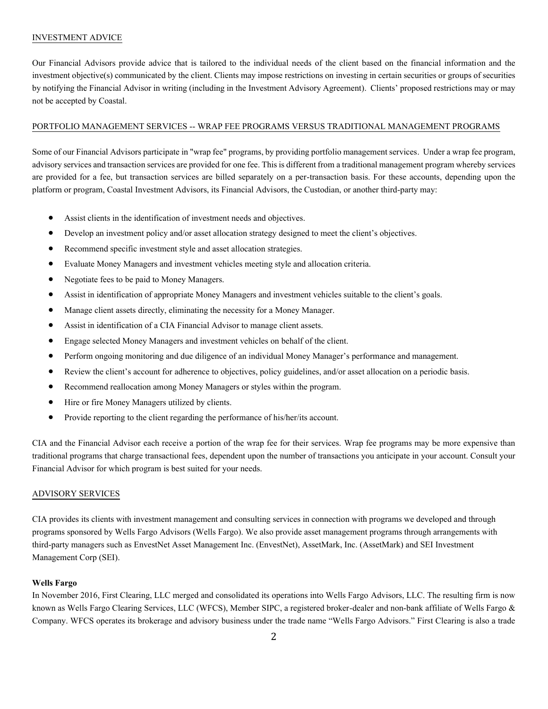# INVESTMENT ADVICE

Our Financial Advisors provide advice that is tailored to the individual needs of the client based on the financial information and the investment objective(s) communicated by the client. Clients may impose restrictions on investing in certain securities or groups of securities by notifying the Financial Advisor in writing (including in the Investment Advisory Agreement). Clients' proposed restrictions may or may not be accepted by Coastal.

# PORTFOLIO MANAGEMENT SERVICES -- WRAP FEE PROGRAMS VERSUS TRADITIONAL MANAGEMENT PROGRAMS

Some of our Financial Advisors participate in "wrap fee" programs, by providing portfolio management services. Under a wrap fee program, advisory services and transaction services are provided for one fee. This is different from a traditional management program whereby services are provided for a fee, but transaction services are billed separately on a per-transaction basis. For these accounts, depending upon the platform or program, Coastal Investment Advisors, its Financial Advisors, the Custodian, or another third-party may:

- Assist clients in the identification of investment needs and objectives.
- Develop an investment policy and/or asset allocation strategy designed to meet the client's objectives.
- Recommend specific investment style and asset allocation strategies.
- Evaluate Money Managers and investment vehicles meeting style and allocation criteria.
- Negotiate fees to be paid to Money Managers.
- Assist in identification of appropriate Money Managers and investment vehicles suitable to the client's goals.
- Manage client assets directly, eliminating the necessity for a Money Manager.
- Assist in identification of a CIA Financial Advisor to manage client assets.
- Engage selected Money Managers and investment vehicles on behalf of the client.
- Perform ongoing monitoring and due diligence of an individual Money Manager's performance and management.
- Review the client's account for adherence to objectives, policy guidelines, and/or asset allocation on a periodic basis.
- Recommend reallocation among Money Managers or styles within the program.
- Hire or fire Money Managers utilized by clients.
- Provide reporting to the client regarding the performance of his/her/its account.

CIA and the Financial Advisor each receive a portion of the wrap fee for their services. Wrap fee programs may be more expensive than traditional programs that charge transactional fees, dependent upon the number of transactions you anticipate in your account. Consult your Financial Advisor for which program is best suited for your needs.

# ADVISORY SERVICES

CIA provides its clients with investment management and consulting services in connection with programs we developed and through programs sponsored by Wells Fargo Advisors (Wells Fargo). We also provide asset management programs through arrangements with third-party managers such as EnvestNet Asset Management Inc. (EnvestNet), AssetMark, Inc. (AssetMark) and SEI Investment Management Corp (SEI).

# **Wells Fargo**

In November 2016, First Clearing, LLC merged and consolidated its operations into Wells Fargo Advisors, LLC. The resulting firm is now known as Wells Fargo Clearing Services, LLC (WFCS), Member SIPC, a registered broker-dealer and non-bank affiliate of Wells Fargo & Company. WFCS operates its brokerage and advisory business under the trade name "Wells Fargo Advisors." First Clearing is also a trade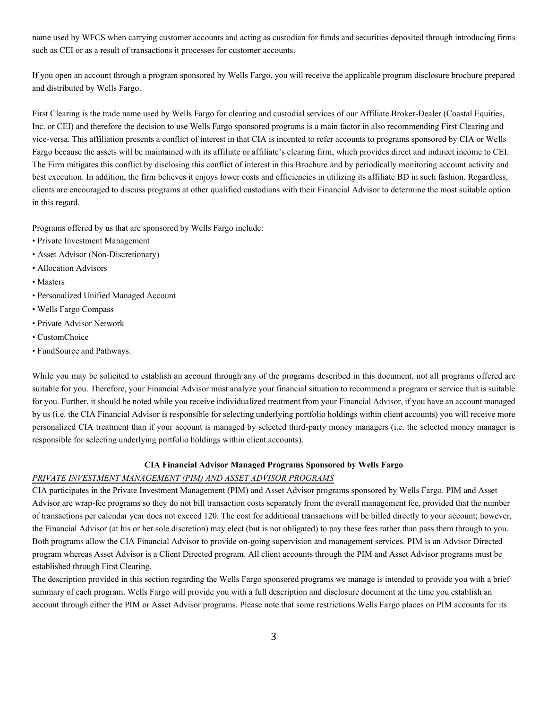name used by WFCS when carrying customer accounts and acting as custodian for funds and securities deposited through introducing firms such as CEI or as a result of transactions it processes for customer accounts.

If you open an account through a program sponsored by Wells Fargo, you will receive the applicable program disclosure brochure prepared and distributed by Wells Fargo.

First Clearing is the trade name used by Wells Fargo for clearing and custodial services of our Affiliate Broker-Dealer (Coastal Equities, Inc. or CEI) and therefore the decision to use Wells Fargo sponsored programs is a main factor in also recommending First Clearing and vice-versa. This affiliation presents a conflict of interest in that CIA is incented to refer accounts to programs sponsored by CIA or Wells Fargo because the assets will be maintained with its affiliate or affiliate's clearing firm, which provides direct and indirect income to CEI. The Firm mitigates this conflict by disclosing this conflict of interest in this Brochure and by periodically monitoring account activity and best execution. In addition, the firm believes it enjoys lower costs and efficiencies in utilizing its affiliate BD in such fashion. Regardless, clients are encouraged to discuss programs at other qualified custodians with their Financial Advisor to determine the most suitable option in this regard.

Programs offered by us that are sponsored by Wells Fargo include:

- Private Investment Management
- Asset Advisor (Non-Discretionary)
- Allocation Advisors
- Masters
- Personalized Unified Managed Account
- Wells Fargo Compass
- Private Advisor Network
- CustomChoice
- FundSource and Pathways.

While you may be solicited to establish an account through any of the programs described in this document, not all programs offered are suitable for you. Therefore, your Financial Advisor must analyze your financial situation to recommend a program or service that is suitable for you. Further, it should be noted while you receive individualized treatment from your Financial Advisor, if you have an account managed by us (i.e. the CIA Financial Advisor is responsible for selecting underlying portfolio holdings within client accounts) you will receive more personalized CIA treatment than if your account is managed by selected third-party money managers (i.e. the selected money manager is responsible for selecting underlying portfolio holdings within client accounts).

### **CIA Financial Advisor Managed Programs Sponsored by Wells Fargo**

# *PRIVATE INVESTMENT MANAGEMENT (PIM) AND ASSET ADVISOR PROGRAMS*

CIA participates in the Private Investment Management (PIM) and Asset Advisor programs sponsored by Wells Fargo. PIM and Asset Advisor are wrap-fee programs so they do not bill transaction costs separately from the overall management fee, provided that the number of transactions per calendar year does not exceed 120. The cost for additional transactions will be billed directly to your account; however, the Financial Advisor (at his or her sole discretion) may elect (but is not obligated) to pay these fees rather than pass them through to you. Both programs allow the CIA Financial Advisor to provide on-going supervision and management services. PIM is an Advisor Directed program whereas Asset Advisor is a Client Directed program. All client accounts through the PIM and Asset Advisor programs must be established through First Clearing.

The description provided in this section regarding the Wells Fargo sponsored programs we manage is intended to provide you with a brief summary of each program. Wells Fargo will provide you with a full description and disclosure document at the time you establish an account through either the PIM or Asset Advisor programs. Please note that some restrictions Wells Fargo places on PIM accounts for its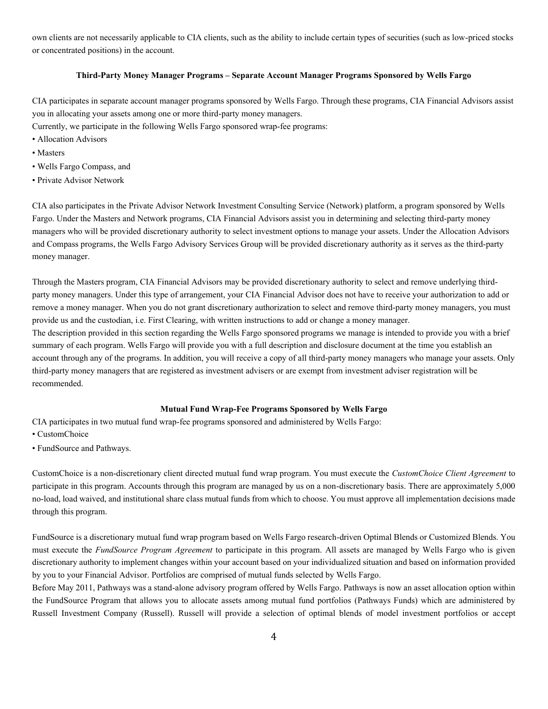own clients are not necessarily applicable to CIA clients, such as the ability to include certain types of securities (such as low-priced stocks or concentrated positions) in the account.

### **Third-Party Money Manager Programs – Separate Account Manager Programs Sponsored by Wells Fargo**

CIA participates in separate account manager programs sponsored by Wells Fargo. Through these programs, CIA Financial Advisors assist you in allocating your assets among one or more third-party money managers.

Currently, we participate in the following Wells Fargo sponsored wrap-fee programs:

- Allocation Advisors
- Masters
- Wells Fargo Compass, and
- Private Advisor Network

CIA also participates in the Private Advisor Network Investment Consulting Service (Network) platform, a program sponsored by Wells Fargo. Under the Masters and Network programs, CIA Financial Advisors assist you in determining and selecting third-party money managers who will be provided discretionary authority to select investment options to manage your assets. Under the Allocation Advisors and Compass programs, the Wells Fargo Advisory Services Group will be provided discretionary authority as it serves as the third-party money manager.

Through the Masters program, CIA Financial Advisors may be provided discretionary authority to select and remove underlying thirdparty money managers. Under this type of arrangement, your CIA Financial Advisor does not have to receive your authorization to add or remove a money manager. When you do not grant discretionary authorization to select and remove third-party money managers, you must provide us and the custodian, i.e. First Clearing, with written instructions to add or change a money manager.

The description provided in this section regarding the Wells Fargo sponsored programs we manage is intended to provide you with a brief summary of each program. Wells Fargo will provide you with a full description and disclosure document at the time you establish an account through any of the programs. In addition, you will receive a copy of all third-party money managers who manage your assets. Only third-party money managers that are registered as investment advisers or are exempt from investment adviser registration will be recommended.

# **Mutual Fund Wrap-Fee Programs Sponsored by Wells Fargo**

CIA participates in two mutual fund wrap-fee programs sponsored and administered by Wells Fargo:

- CustomChoice
- FundSource and Pathways.

CustomChoice is a non-discretionary client directed mutual fund wrap program. You must execute the *CustomChoice Client Agreement* to participate in this program. Accounts through this program are managed by us on a non-discretionary basis. There are approximately 5,000 no-load, load waived, and institutional share class mutual funds from which to choose. You must approve all implementation decisions made through this program.

FundSource is a discretionary mutual fund wrap program based on Wells Fargo research-driven Optimal Blends or Customized Blends. You must execute the *FundSource Program Agreement* to participate in this program. All assets are managed by Wells Fargo who is given discretionary authority to implement changes within your account based on your individualized situation and based on information provided by you to your Financial Advisor. Portfolios are comprised of mutual funds selected by Wells Fargo.

Before May 2011, Pathways was a stand-alone advisory program offered by Wells Fargo. Pathways is now an asset allocation option within the FundSource Program that allows you to allocate assets among mutual fund portfolios (Pathways Funds) which are administered by Russell Investment Company (Russell). Russell will provide a selection of optimal blends of model investment portfolios or accept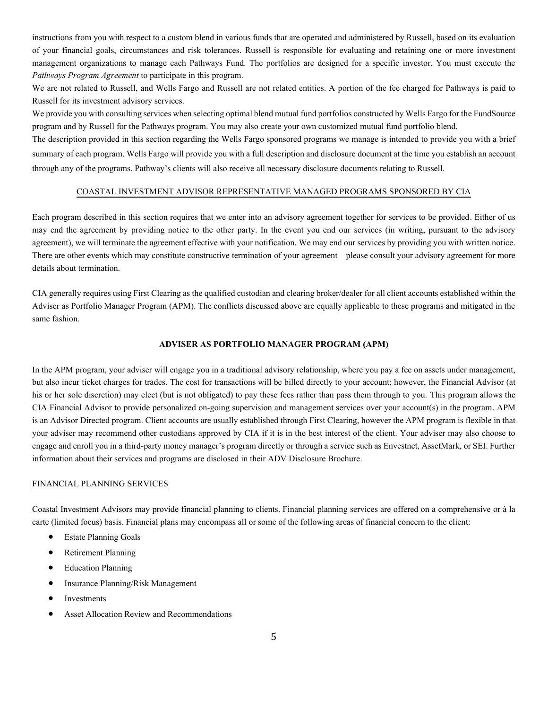instructions from you with respect to a custom blend in various funds that are operated and administered by Russell, based on its evaluation of your financial goals, circumstances and risk tolerances. Russell is responsible for evaluating and retaining one or more investment management organizations to manage each Pathways Fund. The portfolios are designed for a specific investor. You must execute the *Pathways Program Agreement* to participate in this program.

We are not related to Russell, and Wells Fargo and Russell are not related entities. A portion of the fee charged for Pathways is paid to Russell for its investment advisory services.

We provide you with consulting services when selecting optimal blend mutual fund portfolios constructed by Wells Fargo for the FundSource program and by Russell for the Pathways program. You may also create your own customized mutual fund portfolio blend.

The description provided in this section regarding the Wells Fargo sponsored programs we manage is intended to provide you with a brief summary of each program. Wells Fargo will provide you with a full description and disclosure document at the time you establish an account through any of the programs. Pathway's clients will also receive all necessary disclosure documents relating to Russell.

# COASTAL INVESTMENT ADVISOR REPRESENTATIVE MANAGED PROGRAMS SPONSORED BY CIA

Each program described in this section requires that we enter into an advisory agreement together for services to be provided. Either of us may end the agreement by providing notice to the other party. In the event you end our services (in writing, pursuant to the advisory agreement), we will terminate the agreement effective with your notification. We may end our services by providing you with written notice. There are other events which may constitute constructive termination of your agreement – please consult your advisory agreement for more details about termination.

CIA generally requires using First Clearing as the qualified custodian and clearing broker/dealer for all client accounts established within the Adviser as Portfolio Manager Program (APM). The conflicts discussed above are equally applicable to these programs and mitigated in the same fashion.

# **ADVISER AS PORTFOLIO MANAGER PROGRAM (APM)**

In the APM program, your adviser will engage you in a traditional advisory relationship, where you pay a fee on assets under management, but also incur ticket charges for trades. The cost for transactions will be billed directly to your account; however, the Financial Advisor (at his or her sole discretion) may elect (but is not obligated) to pay these fees rather than pass them through to you. This program allows the CIA Financial Advisor to provide personalized on-going supervision and management services over your account(s) in the program. APM is an Advisor Directed program. Client accounts are usually established through First Clearing, however the APM program is flexible in that your adviser may recommend other custodians approved by CIA if it is in the best interest of the client. Your adviser may also choose to engage and enroll you in a third-party money manager's program directly or through a service such as Envestnet, AssetMark, or SEI. Further information about their services and programs are disclosed in their ADV Disclosure Brochure.

# FINANCIAL PLANNING SERVICES

Coastal Investment Advisors may provide financial planning to clients. Financial planning services are offered on a comprehensive or à la carte (limited focus) basis. Financial plans may encompass all or some of the following areas of financial concern to the client:

- Estate Planning Goals
- Retirement Planning
- Education Planning
- Insurance Planning/Risk Management
- **Investments**
- Asset Allocation Review and Recommendations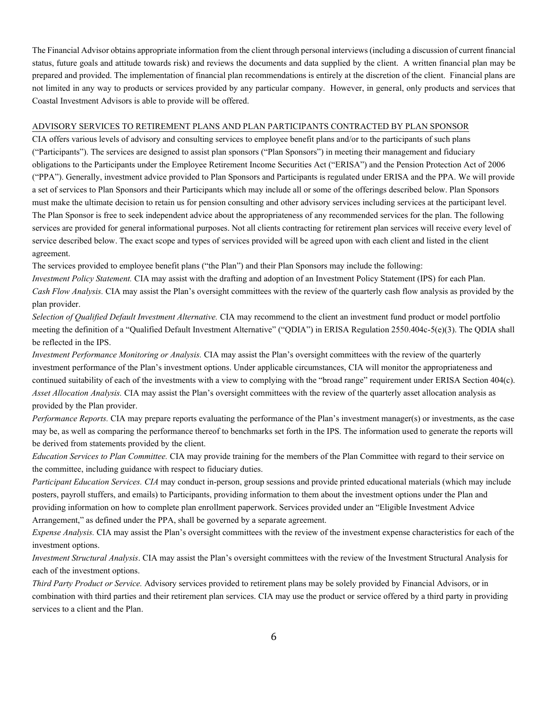The Financial Advisor obtains appropriate information from the client through personal interviews (including a discussion of current financial status, future goals and attitude towards risk) and reviews the documents and data supplied by the client. A written financial plan may be prepared and provided. The implementation of financial plan recommendations is entirely at the discretion of the client. Financial plans are not limited in any way to products or services provided by any particular company. However, in general, only products and services that Coastal Investment Advisors is able to provide will be offered.

# ADVISORY SERVICES TO RETIREMENT PLANS AND PLAN PARTICIPANTS CONTRACTED BY PLAN SPONSOR

CIA offers various levels of advisory and consulting services to employee benefit plans and/or to the participants of such plans ("Participants"). The services are designed to assist plan sponsors ("Plan Sponsors") in meeting their management and fiduciary obligations to the Participants under the Employee Retirement Income Securities Act ("ERISA") and the Pension Protection Act of 2006 ("PPA"). Generally, investment advice provided to Plan Sponsors and Participants is regulated under ERISA and the PPA. We will provide a set of services to Plan Sponsors and their Participants which may include all or some of the offerings described below. Plan Sponsors must make the ultimate decision to retain us for pension consulting and other advisory services including services at the participant level. The Plan Sponsor is free to seek independent advice about the appropriateness of any recommended services for the plan. The following services are provided for general informational purposes. Not all clients contracting for retirement plan services will receive every level of service described below. The exact scope and types of services provided will be agreed upon with each client and listed in the client agreement.

The services provided to employee benefit plans ("the Plan") and their Plan Sponsors may include the following:

*Investment Policy Statement.* CIA may assist with the drafting and adoption of an Investment Policy Statement (IPS) for each Plan. *Cash Flow Analysis.* CIA may assist the Plan's oversight committees with the review of the quarterly cash flow analysis as provided by the plan provider.

*Selection of Qualified Default Investment Alternative.* CIA may recommend to the client an investment fund product or model portfolio meeting the definition of a "Qualified Default Investment Alternative" ("QDIA") in ERISA Regulation 2550.404c-5(e)(3). The QDIA shall be reflected in the IPS.

*Investment Performance Monitoring or Analysis.* CIA may assist the Plan's oversight committees with the review of the quarterly investment performance of the Plan's investment options. Under applicable circumstances, CIA will monitor the appropriateness and continued suitability of each of the investments with a view to complying with the "broad range" requirement under ERISA Section 404(c). *Asset Allocation Analysis.* CIA may assist the Plan's oversight committees with the review of the quarterly asset allocation analysis as provided by the Plan provider.

*Performance Reports.* CIA may prepare reports evaluating the performance of the Plan's investment manager(s) or investments, as the case may be, as well as comparing the performance thereof to benchmarks set forth in the IPS. The information used to generate the reports will be derived from statements provided by the client.

*Education Services to Plan Committee.* CIA may provide training for the members of the Plan Committee with regard to their service on the committee, including guidance with respect to fiduciary duties.

*Participant Education Services. CIA* may conduct in-person, group sessions and provide printed educational materials (which may include posters, payroll stuffers, and emails) to Participants, providing information to them about the investment options under the Plan and providing information on how to complete plan enrollment paperwork. Services provided under an "Eligible Investment Advice Arrangement," as defined under the PPA, shall be governed by a separate agreement.

*Expense Analysis.* CIA may assist the Plan's oversight committees with the review of the investment expense characteristics for each of the investment options.

*Investment Structural Analysis*. CIA may assist the Plan's oversight committees with the review of the Investment Structural Analysis for each of the investment options.

*Third Party Product or Service.* Advisory services provided to retirement plans may be solely provided by Financial Advisors, or in combination with third parties and their retirement plan services. CIA may use the product or service offered by a third party in providing services to a client and the Plan.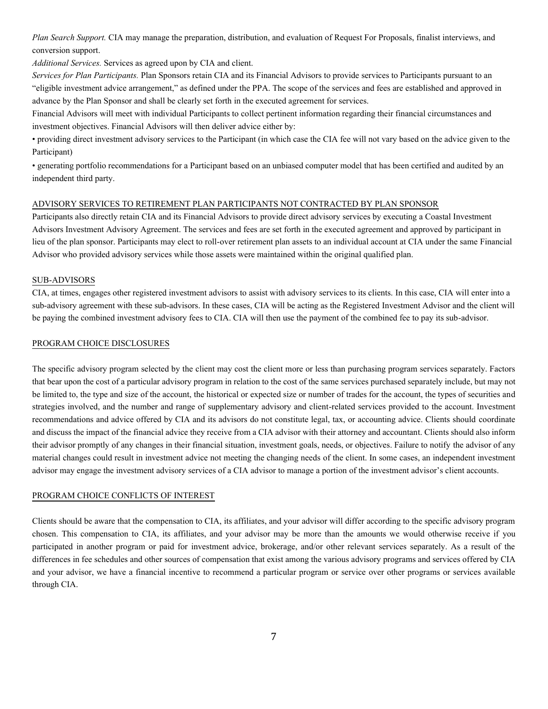*Plan Search Support.* CIA may manage the preparation, distribution, and evaluation of Request For Proposals, finalist interviews, and conversion support.

*Additional Services.* Services as agreed upon by CIA and client.

*Services for Plan Participants.* Plan Sponsors retain CIA and its Financial Advisors to provide services to Participants pursuant to an "eligible investment advice arrangement," as defined under the PPA. The scope of the services and fees are established and approved in advance by the Plan Sponsor and shall be clearly set forth in the executed agreement for services.

Financial Advisors will meet with individual Participants to collect pertinent information regarding their financial circumstances and investment objectives. Financial Advisors will then deliver advice either by:

• providing direct investment advisory services to the Participant (in which case the CIA fee will not vary based on the advice given to the Participant)

• generating portfolio recommendations for a Participant based on an unbiased computer model that has been certified and audited by an independent third party.

# ADVISORY SERVICES TO RETIREMENT PLAN PARTICIPANTS NOT CONTRACTED BY PLAN SPONSOR

Participants also directly retain CIA and its Financial Advisors to provide direct advisory services by executing a Coastal Investment Advisors Investment Advisory Agreement. The services and fees are set forth in the executed agreement and approved by participant in lieu of the plan sponsor. Participants may elect to roll-over retirement plan assets to an individual account at CIA under the same Financial Advisor who provided advisory services while those assets were maintained within the original qualified plan.

# SUB-ADVISORS

CIA, at times, engages other registered investment advisors to assist with advisory services to its clients. In this case, CIA will enter into a sub-advisory agreement with these sub-advisors. In these cases, CIA will be acting as the Registered Investment Advisor and the client will be paying the combined investment advisory fees to CIA. CIA will then use the payment of the combined fee to pay its sub-advisor.

# PROGRAM CHOICE DISCLOSURES

The specific advisory program selected by the client may cost the client more or less than purchasing program services separately. Factors that bear upon the cost of a particular advisory program in relation to the cost of the same services purchased separately include, but may not be limited to, the type and size of the account, the historical or expected size or number of trades for the account, the types of securities and strategies involved, and the number and range of supplementary advisory and client-related services provided to the account. Investment recommendations and advice offered by CIA and its advisors do not constitute legal, tax, or accounting advice. Clients should coordinate and discuss the impact of the financial advice they receive from a CIA advisor with their attorney and accountant. Clients should also inform their advisor promptly of any changes in their financial situation, investment goals, needs, or objectives. Failure to notify the advisor of any material changes could result in investment advice not meeting the changing needs of the client. In some cases, an independent investment advisor may engage the investment advisory services of a CIA advisor to manage a portion of the investment advisor's client accounts.

# PROGRAM CHOICE CONFLICTS OF INTEREST

Clients should be aware that the compensation to CIA, its affiliates, and your advisor will differ according to the specific advisory program chosen. This compensation to CIA, its affiliates, and your advisor may be more than the amounts we would otherwise receive if you participated in another program or paid for investment advice, brokerage, and/or other relevant services separately. As a result of the differences in fee schedules and other sources of compensation that exist among the various advisory programs and services offered by CIA and your advisor, we have a financial incentive to recommend a particular program or service over other programs or services available through CIA.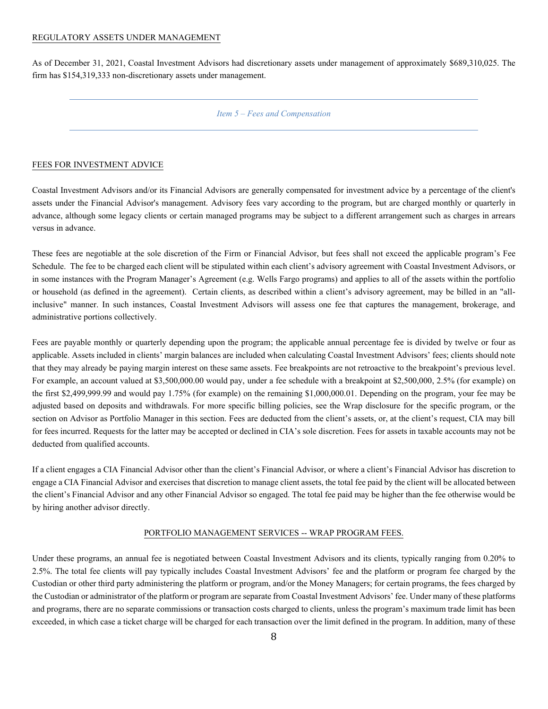### REGULATORY ASSETS UNDER MANAGEMENT

<span id="page-10-0"></span>As of December 31, 2021, Coastal Investment Advisors had discretionary assets under management of approximately \$689,310,025. The firm has \$154,319,333 non-discretionary assets under management.

# *Item 5 – Fees and Compensation*

# FEES FOR INVESTMENT ADVICE

Coastal Investment Advisors and/or its Financial Advisors are generally compensated for investment advice by a percentage of the client's assets under the Financial Advisor's management. Advisory fees vary according to the program, but are charged monthly or quarterly in advance, although some legacy clients or certain managed programs may be subject to a different arrangement such as charges in arrears versus in advance.

These fees are negotiable at the sole discretion of the Firm or Financial Advisor, but fees shall not exceed the applicable program's Fee Schedule. The fee to be charged each client will be stipulated within each client's advisory agreement with Coastal Investment Advisors, or in some instances with the Program Manager's Agreement (e.g. Wells Fargo programs) and applies to all of the assets within the portfolio or household (as defined in the agreement). Certain clients, as described within a client's advisory agreement, may be billed in an "allinclusive" manner. In such instances, Coastal Investment Advisors will assess one fee that captures the management, brokerage, and administrative portions collectively.

Fees are payable monthly or quarterly depending upon the program; the applicable annual percentage fee is divided by twelve or four as applicable. Assets included in clients' margin balances are included when calculating Coastal Investment Advisors' fees; clients should note that they may already be paying margin interest on these same assets. Fee breakpoints are not retroactive to the breakpoint's previous level. For example, an account valued at \$3,500,000.00 would pay, under a fee schedule with a breakpoint at \$2,500,000, 2.5% (for example) on the first \$2,499,999.99 and would pay 1.75% (for example) on the remaining \$1,000,000.01. Depending on the program, your fee may be adjusted based on deposits and withdrawals. For more specific billing policies, see the Wrap disclosure for the specific program, or the section on Advisor as Portfolio Manager in this section. Fees are deducted from the client's assets, or, at the client's request, CIA may bill for fees incurred. Requests for the latter may be accepted or declined in CIA's sole discretion. Fees for assets in taxable accounts may not be deducted from qualified accounts.

If a client engages a CIA Financial Advisor other than the client's Financial Advisor, or where a client's Financial Advisor has discretion to engage a CIA Financial Advisor and exercises that discretion to manage client assets, the total fee paid by the client will be allocated between the client's Financial Advisor and any other Financial Advisor so engaged. The total fee paid may be higher than the fee otherwise would be by hiring another advisor directly.

# PORTFOLIO MANAGEMENT SERVICES -- WRAP PROGRAM FEES.

Under these programs, an annual fee is negotiated between Coastal Investment Advisors and its clients, typically ranging from 0.20% to 2.5%. The total fee clients will pay typically includes Coastal Investment Advisors' fee and the platform or program fee charged by the Custodian or other third party administering the platform or program, and/or the Money Managers; for certain programs, the fees charged by the Custodian or administrator of the platform or program are separate from Coastal Investment Advisors' fee. Under many of these platforms and programs, there are no separate commissions or transaction costs charged to clients, unless the program's maximum trade limit has been exceeded, in which case a ticket charge will be charged for each transaction over the limit defined in the program. In addition, many of these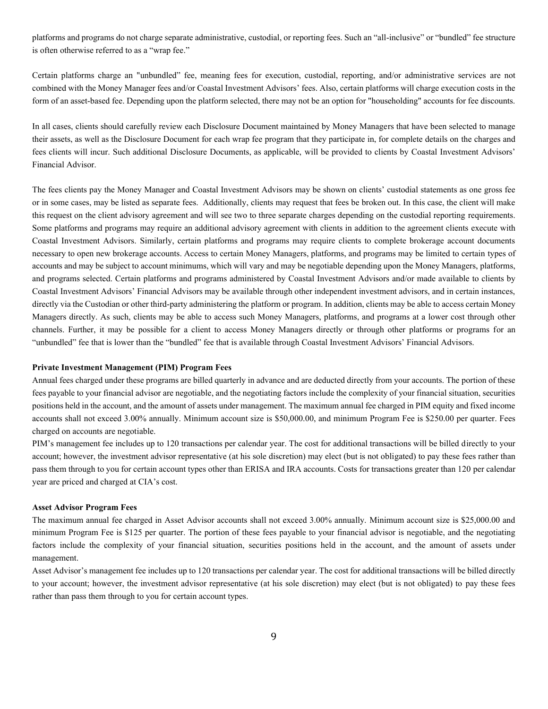platforms and programs do not charge separate administrative, custodial, or reporting fees. Such an "all-inclusive" or "bundled" fee structure is often otherwise referred to as a "wrap fee."

Certain platforms charge an "unbundled" fee, meaning fees for execution, custodial, reporting, and/or administrative services are not combined with the Money Manager fees and/or Coastal Investment Advisors' fees. Also, certain platforms will charge execution costs in the form of an asset-based fee. Depending upon the platform selected, there may not be an option for "householding" accounts for fee discounts.

In all cases, clients should carefully review each Disclosure Document maintained by Money Managers that have been selected to manage their assets, as well as the Disclosure Document for each wrap fee program that they participate in, for complete details on the charges and fees clients will incur. Such additional Disclosure Documents, as applicable, will be provided to clients by Coastal Investment Advisors' Financial Advisor.

The fees clients pay the Money Manager and Coastal Investment Advisors may be shown on clients' custodial statements as one gross fee or in some cases, may be listed as separate fees. Additionally, clients may request that fees be broken out. In this case, the client will make this request on the client advisory agreement and will see two to three separate charges depending on the custodial reporting requirements. Some platforms and programs may require an additional advisory agreement with clients in addition to the agreement clients execute with Coastal Investment Advisors. Similarly, certain platforms and programs may require clients to complete brokerage account documents necessary to open new brokerage accounts. Access to certain Money Managers, platforms, and programs may be limited to certain types of accounts and may be subject to account minimums, which will vary and may be negotiable depending upon the Money Managers, platforms, and programs selected. Certain platforms and programs administered by Coastal Investment Advisors and/or made available to clients by Coastal Investment Advisors' Financial Advisors may be available through other independent investment advisors, and in certain instances, directly via the Custodian or other third-party administering the platform or program. In addition, clients may be able to access certain Money Managers directly. As such, clients may be able to access such Money Managers, platforms, and programs at a lower cost through other channels. Further, it may be possible for a client to access Money Managers directly or through other platforms or programs for an "unbundled" fee that is lower than the "bundled" fee that is available through Coastal Investment Advisors' Financial Advisors.

#### **Private Investment Management (PIM) Program Fees**

Annual fees charged under these programs are billed quarterly in advance and are deducted directly from your accounts. The portion of these fees payable to your financial advisor are negotiable, and the negotiating factors include the complexity of your financial situation, securities positions held in the account, and the amount of assets under management. The maximum annual fee charged in PIM equity and fixed income accounts shall not exceed 3.00% annually. Minimum account size is \$50,000.00, and minimum Program Fee is \$250.00 per quarter. Fees charged on accounts are negotiable.

PIM's management fee includes up to 120 transactions per calendar year. The cost for additional transactions will be billed directly to your account; however, the investment advisor representative (at his sole discretion) may elect (but is not obligated) to pay these fees rather than pass them through to you for certain account types other than ERISA and IRA accounts. Costs for transactions greater than 120 per calendar year are priced and charged at CIA's cost.

#### **Asset Advisor Program Fees**

The maximum annual fee charged in Asset Advisor accounts shall not exceed 3.00% annually. Minimum account size is \$25,000.00 and minimum Program Fee is \$125 per quarter. The portion of these fees payable to your financial advisor is negotiable, and the negotiating factors include the complexity of your financial situation, securities positions held in the account, and the amount of assets under management.

Asset Advisor's management fee includes up to 120 transactions per calendar year. The cost for additional transactions will be billed directly to your account; however, the investment advisor representative (at his sole discretion) may elect (but is not obligated) to pay these fees rather than pass them through to you for certain account types.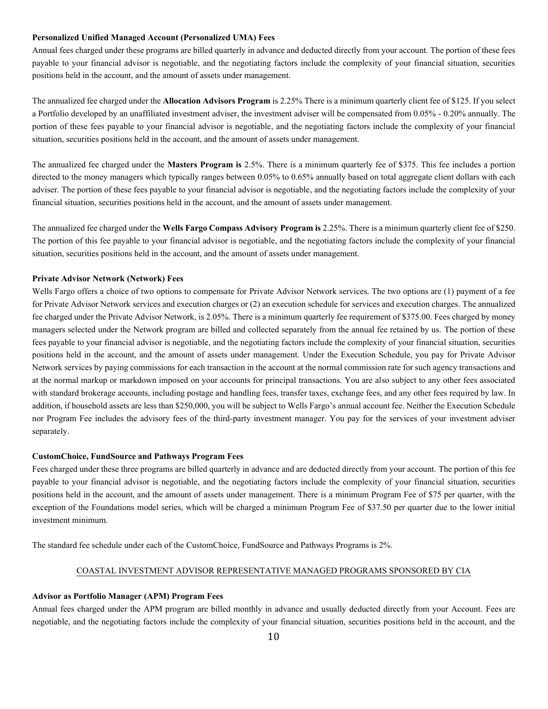### **Personalized Unified Managed Account (Personalized UMA) Fees**

Annual fees charged under these programs are billed quarterly in advance and deducted directly from your account. The portion of these fees payable to your financial advisor is negotiable, and the negotiating factors include the complexity of your financial situation, securities positions held in the account, and the amount of assets under management.

The annualized fee charged under the **Allocation Advisors Program** is 2.25% There is a minimum quarterly client fee of \$125. If you select a Portfolio developed by an unaffiliated investment adviser, the investment adviser will be compensated from 0.05% - 0.20% annually. The portion of these fees payable to your financial advisor is negotiable, and the negotiating factors include the complexity of your financial situation, securities positions held in the account, and the amount of assets under management.

The annualized fee charged under the **Masters Program is** 2.5%. There is a minimum quarterly fee of \$375. This fee includes a portion directed to the money managers which typically ranges between 0.05% to 0.65% annually based on total aggregate client dollars with each adviser. The portion of these fees payable to your financial advisor is negotiable, and the negotiating factors include the complexity of your financial situation, securities positions held in the account, and the amount of assets under management.

The annualized fee charged under the **Wells Fargo Compass Advisory Program is** 2.25%. There is a minimum quarterly client fee of \$250. The portion of this fee payable to your financial advisor is negotiable, and the negotiating factors include the complexity of your financial situation, securities positions held in the account, and the amount of assets under management.

### **Private Advisor Network (Network) Fees**

Wells Fargo offers a choice of two options to compensate for Private Advisor Network services. The two options are (1) payment of a fee for Private Advisor Network services and execution charges or (2) an execution schedule for services and execution charges. The annualized fee charged under the Private Advisor Network, is 2.05%. There is a minimum quarterly fee requirement of \$375.00. Fees charged by money managers selected under the Network program are billed and collected separately from the annual fee retained by us. The portion of these fees payable to your financial advisor is negotiable, and the negotiating factors include the complexity of your financial situation, securities positions held in the account, and the amount of assets under management. Under the Execution Schedule, you pay for Private Advisor Network services by paying commissions for each transaction in the account at the normal commission rate for such agency transactions and at the normal markup or markdown imposed on your accounts for principal transactions. You are also subject to any other fees associated with standard brokerage accounts, including postage and handling fees, transfer taxes, exchange fees, and any other fees required by law. In addition, if household assets are less than \$250,000, you will be subject to Wells Fargo'sannual account fee. Neither the Execution Schedule nor Program Fee includes the advisory fees of the third-party investment manager. You pay for the services of your investment adviser separately.

# **CustomChoice, FundSource and Pathways Program Fees**

Fees charged under these three programs are billed quarterly in advance and are deducted directly from your account. The portion of this fee payable to your financial advisor is negotiable, and the negotiating factors include the complexity of your financial situation, securities positions held in the account, and the amount of assets under management. There is a minimum Program Fee of \$75 per quarter, with the exception of the Foundations model series, which will be charged a minimum Program Fee of \$37.50 per quarter due to the lower initial investment minimum.

The standard fee schedule under each of the CustomChoice, FundSource and Pathways Programs is 2%.

# COASTAL INVESTMENT ADVISOR REPRESENTATIVE MANAGED PROGRAMS SPONSORED BY CIA

# **Advisor as Portfolio Manager (APM) Program Fees**

Annual fees charged under the APM program are billed monthly in advance and usually deducted directly from your Account. Fees are negotiable, and the negotiating factors include the complexity of your financial situation, securities positions held in the account, and the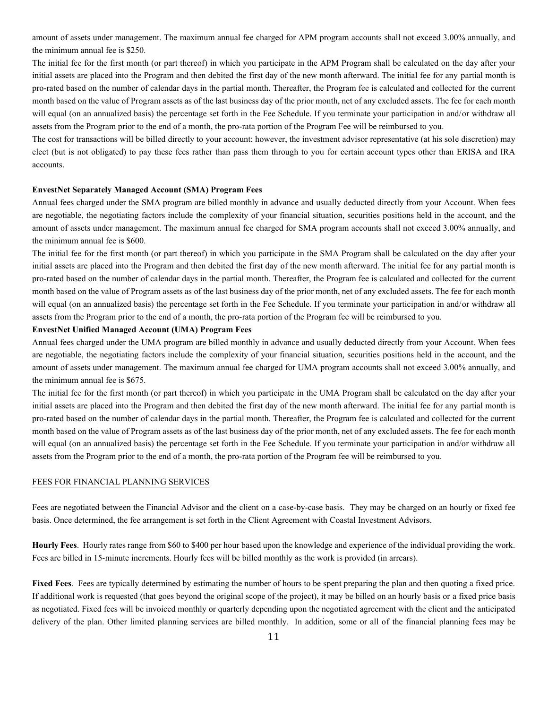amount of assets under management. The maximum annual fee charged for APM program accounts shall not exceed 3.00% annually, and the minimum annual fee is \$250.

The initial fee for the first month (or part thereof) in which you participate in the APM Program shall be calculated on the day after your initial assets are placed into the Program and then debited the first day of the new month afterward. The initial fee for any partial month is pro-rated based on the number of calendar days in the partial month. Thereafter, the Program fee is calculated and collected for the current month based on the value of Program assets as of the last business day of the prior month, net of any excluded assets. The fee for each month will equal (on an annualized basis) the percentage set forth in the Fee Schedule. If you terminate your participation in and/or withdraw all assets from the Program prior to the end of a month, the pro-rata portion of the Program Fee will be reimbursed to you.

The cost for transactions will be billed directly to your account; however, the investment advisor representative (at his sole discretion) may elect (but is not obligated) to pay these fees rather than pass them through to you for certain account types other than ERISA and IRA accounts.

# **EnvestNet Separately Managed Account (SMA) Program Fees**

Annual fees charged under the SMA program are billed monthly in advance and usually deducted directly from your Account. When fees are negotiable, the negotiating factors include the complexity of your financial situation, securities positions held in the account, and the amount of assets under management. The maximum annual fee charged for SMA program accounts shall not exceed 3.00% annually, and the minimum annual fee is \$600.

The initial fee for the first month (or part thereof) in which you participate in the SMA Program shall be calculated on the day after your initial assets are placed into the Program and then debited the first day of the new month afterward. The initial fee for any partial month is pro-rated based on the number of calendar days in the partial month. Thereafter, the Program fee is calculated and collected for the current month based on the value of Program assets as of the last business day of the prior month, net of any excluded assets. The fee for each month will equal (on an annualized basis) the percentage set forth in the Fee Schedule. If you terminate your participation in and/or withdraw all assets from the Program prior to the end of a month, the pro-rata portion of the Program fee will be reimbursed to you.

# **EnvestNet Unified Managed Account (UMA) Program Fees**

Annual fees charged under the UMA program are billed monthly in advance and usually deducted directly from your Account. When fees are negotiable, the negotiating factors include the complexity of your financial situation, securities positions held in the account, and the amount of assets under management. The maximum annual fee charged for UMA program accounts shall not exceed 3.00% annually, and the minimum annual fee is \$675.

The initial fee for the first month (or part thereof) in which you participate in the UMA Program shall be calculated on the day after your initial assets are placed into the Program and then debited the first day of the new month afterward. The initial fee for any partial month is pro-rated based on the number of calendar days in the partial month. Thereafter, the Program fee is calculated and collected for the current month based on the value of Program assets as of the last business day of the prior month, net of any excluded assets. The fee for each month will equal (on an annualized basis) the percentage set forth in the Fee Schedule. If you terminate your participation in and/or withdraw all assets from the Program prior to the end of a month, the pro-rata portion of the Program fee will be reimbursed to you.

#### FEES FOR FINANCIAL PLANNING SERVICES

Fees are negotiated between the Financial Advisor and the client on a case-by-case basis. They may be charged on an hourly or fixed fee basis. Once determined, the fee arrangement is set forth in the Client Agreement with Coastal Investment Advisors.

**Hourly Fees**. Hourly rates range from \$60 to \$400 per hour based upon the knowledge and experience of the individual providing the work. Fees are billed in 15-minute increments. Hourly fees will be billed monthly as the work is provided (in arrears).

**Fixed Fees**. Fees are typically determined by estimating the number of hours to be spent preparing the plan and then quoting a fixed price. If additional work is requested (that goes beyond the original scope of the project), it may be billed on an hourly basis or a fixed price basis as negotiated. Fixed fees will be invoiced monthly or quarterly depending upon the negotiated agreement with the client and the anticipated delivery of the plan. Other limited planning services are billed monthly. In addition, some or all of the financial planning fees may be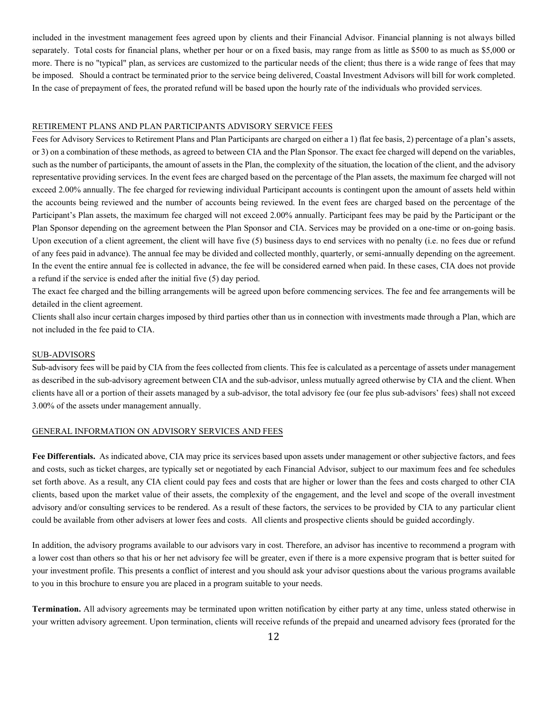included in the investment management fees agreed upon by clients and their Financial Advisor. Financial planning is not always billed separately. Total costs for financial plans, whether per hour or on a fixed basis, may range from as little as \$500 to as much as \$5,000 or more. There is no "typical" plan, as services are customized to the particular needs of the client; thus there is a wide range of fees that may be imposed. Should a contract be terminated prior to the service being delivered, Coastal Investment Advisors will bill for work completed. In the case of prepayment of fees, the prorated refund will be based upon the hourly rate of the individuals who provided services.

# RETIREMENT PLANS AND PLAN PARTICIPANTS ADVISORY SERVICE FEES

Fees for Advisory Services to Retirement Plans and Plan Participants are charged on either a 1) flat fee basis, 2) percentage of a plan's assets, or 3) on a combination of these methods, as agreed to between CIA and the Plan Sponsor. The exact fee charged will depend on the variables, such as the number of participants, the amount of assets in the Plan, the complexity of the situation, the location of the client, and the advisory representative providing services. In the event fees are charged based on the percentage of the Plan assets, the maximum fee charged will not exceed 2.00% annually. The fee charged for reviewing individual Participant accounts is contingent upon the amount of assets held within the accounts being reviewed and the number of accounts being reviewed. In the event fees are charged based on the percentage of the Participant's Plan assets, the maximum fee charged will not exceed 2.00% annually. Participant fees may be paid by the Participant or the Plan Sponsor depending on the agreement between the Plan Sponsor and CIA. Services may be provided on a one-time or on-going basis. Upon execution of a client agreement, the client will have five (5) business days to end services with no penalty (i.e. no fees due or refund of any fees paid in advance). The annual fee may be divided and collected monthly, quarterly, or semi-annually depending on the agreement. In the event the entire annual fee is collected in advance, the fee will be considered earned when paid. In these cases, CIA does not provide a refund if the service is ended after the initial five (5) day period.

The exact fee charged and the billing arrangements will be agreed upon before commencing services. The fee and fee arrangements will be detailed in the client agreement.

Clients shall also incur certain charges imposed by third parties other than us in connection with investments made through a Plan, which are not included in the fee paid to CIA.

#### SUB-ADVISORS

Sub-advisory fees will be paid by CIA from the fees collected from clients. This fee is calculated as a percentage of assets under management as described in the sub-advisory agreement between CIA and the sub-advisor, unless mutually agreed otherwise by CIA and the client. When clients have all or a portion of their assets managed by a sub-advisor, the total advisory fee (our fee plus sub-advisors' fees) shall not exceed 3.00% of the assets under management annually.

### GENERAL INFORMATION ON ADVISORY SERVICES AND FEES

**Fee Differentials.** As indicated above, CIA may price its services based upon assets under management or other subjective factors, and fees and costs, such as ticket charges, are typically set or negotiated by each Financial Advisor, subject to our maximum fees and fee schedules set forth above. As a result, any CIA client could pay fees and costs that are higher or lower than the fees and costs charged to other CIA clients, based upon the market value of their assets, the complexity of the engagement, and the level and scope of the overall investment advisory and/or consulting services to be rendered. As a result of these factors, the services to be provided by CIA to any particular client could be available from other advisers at lower fees and costs. All clients and prospective clients should be guided accordingly.

In addition, the advisory programs available to our advisors vary in cost. Therefore, an advisor has incentive to recommend a program with a lower cost than others so that his or her net advisory fee will be greater, even if there is a more expensive program that is better suited for your investment profile. This presents a conflict of interest and you should ask your advisor questions about the various programs available to you in this brochure to ensure you are placed in a program suitable to your needs.

**Termination.** All advisory agreements may be terminated upon written notification by either party at any time, unless stated otherwise in your written advisory agreement. Upon termination, clients will receive refunds of the prepaid and unearned advisory fees (prorated for the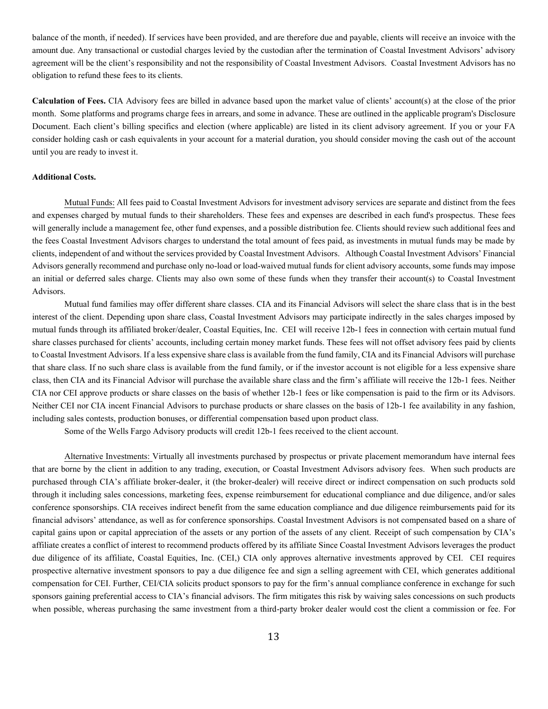balance of the month, if needed). If services have been provided, and are therefore due and payable, clients will receive an invoice with the amount due. Any transactional or custodial charges levied by the custodian after the termination of Coastal Investment Advisors' advisory agreement will be the client's responsibility and not the responsibility of Coastal Investment Advisors. Coastal Investment Advisors has no obligation to refund these fees to its clients.

**Calculation of Fees.** CIA Advisory fees are billed in advance based upon the market value of clients' account(s) at the close of the prior month. Some platforms and programs charge fees in arrears, and some in advance. These are outlined in the applicable program's Disclosure Document. Each client's billing specifics and election (where applicable) are listed in its client advisory agreement. If you or your FA consider holding cash or cash equivalents in your account for a material duration, you should consider moving the cash out of the account until you are ready to invest it.

### **Additional Costs.**

Mutual Funds: All fees paid to Coastal Investment Advisors for investment advisory services are separate and distinct from the fees and expenses charged by mutual funds to their shareholders. These fees and expenses are described in each fund's prospectus. These fees will generally include a management fee, other fund expenses, and a possible distribution fee. Clients should review such additional fees and the fees Coastal Investment Advisors charges to understand the total amount of fees paid, as investments in mutual funds may be made by clients, independent of and without the services provided by Coastal Investment Advisors. Although Coastal Investment Advisors' Financial Advisors generally recommend and purchase only no-load or load-waived mutual funds for client advisory accounts, some funds may impose an initial or deferred sales charge. Clients may also own some of these funds when they transfer their account(s) to Coastal Investment Advisors.

Mutual fund families may offer different share classes. CIA and its Financial Advisors will select the share class that is in the best interest of the client. Depending upon share class, Coastal Investment Advisors may participate indirectly in the sales charges imposed by mutual funds through its affiliated broker/dealer, Coastal Equities, Inc. CEI will receive 12b-1 fees in connection with certain mutual fund share classes purchased for clients' accounts, including certain money market funds. These fees will not offset advisory fees paid by clients to Coastal Investment Advisors. If a less expensive share class is available from the fund family, CIA and its Financial Advisors will purchase that share class. If no such share class is available from the fund family, or if the investor account is not eligible for a less expensive share class, then CIA and its Financial Advisor will purchase the available share class and the firm's affiliate will receive the 12b-1 fees. Neither CIA nor CEI approve products or share classes on the basis of whether 12b-1 fees or like compensation is paid to the firm or its Advisors. Neither CEI nor CIA incent Financial Advisors to purchase products or share classes on the basis of 12b-1 fee availability in any fashion, including sales contests, production bonuses, or differential compensation based upon product class.

Some of the Wells Fargo Advisory products will credit 12b-1 fees received to the client account.

Alternative Investments: Virtually all investments purchased by prospectus or private placement memorandum have internal fees that are borne by the client in addition to any trading, execution, or Coastal Investment Advisors advisory fees. When such products are purchased through CIA's affiliate broker-dealer, it (the broker-dealer) will receive direct or indirect compensation on such products sold through it including sales concessions, marketing fees, expense reimbursement for educational compliance and due diligence, and/or sales conference sponsorships. CIA receives indirect benefit from the same education compliance and due diligence reimbursements paid for its financial advisors' attendance, as well as for conference sponsorships. Coastal Investment Advisors is not compensated based on a share of capital gains upon or capital appreciation of the assets or any portion of the assets of any client. Receipt of such compensation by CIA's affiliate creates a conflict of interest to recommend products offered by its affiliate Since Coastal Investment Advisors leverages the product due diligence of its affiliate, Coastal Equities, Inc. (CEI,) CIA only approves alternative investments approved by CEI. CEI requires prospective alternative investment sponsors to pay a due diligence fee and sign a selling agreement with CEI, which generates additional compensation for CEI. Further, CEI/CIA solicits product sponsors to pay for the firm's annual compliance conference in exchange for such sponsors gaining preferential access to CIA's financial advisors. The firm mitigates this risk by waiving sales concessions on such products when possible, whereas purchasing the same investment from a third-party broker dealer would cost the client a commission or fee. For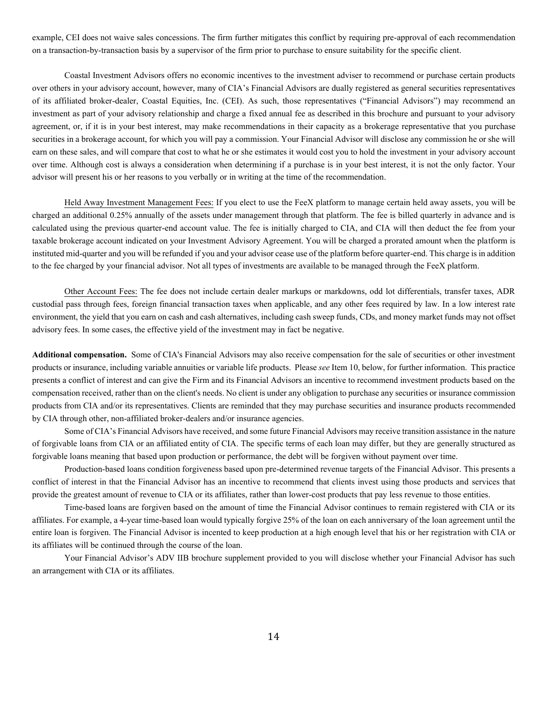example, CEI does not waive sales concessions. The firm further mitigates this conflict by requiring pre-approval of each recommendation on a transaction-by-transaction basis by a supervisor of the firm prior to purchase to ensure suitability for the specific client.

Coastal Investment Advisors offers no economic incentives to the investment adviser to recommend or purchase certain products over others in your advisory account, however, many of CIA's Financial Advisors are dually registered as general securities representatives of its affiliated broker-dealer, Coastal Equities, Inc. (CEI). As such, those representatives ("Financial Advisors") may recommend an investment as part of your advisory relationship and charge a fixed annual fee as described in this brochure and pursuant to your advisory agreement, or, if it is in your best interest, may make recommendations in their capacity as a brokerage representative that you purchase securities in a brokerage account, for which you will pay a commission. Your Financial Advisor will disclose any commission he or she will earn on these sales, and will compare that cost to what he or she estimates it would cost you to hold the investment in your advisory account over time. Although cost is always a consideration when determining if a purchase is in your best interest, it is not the only factor. Your advisor will present his or her reasons to you verbally or in writing at the time of the recommendation.

Held Away Investment Management Fees: If you elect to use the FeeX platform to manage certain held away assets, you will be charged an additional 0.25% annually of the assets under management through that platform. The fee is billed quarterly in advance and is calculated using the previous quarter-end account value. The fee is initially charged to CIA, and CIA will then deduct the fee from your taxable brokerage account indicated on your Investment Advisory Agreement. You will be charged a prorated amount when the platform is instituted mid-quarter and you will be refunded if you and your advisor cease use of the platform before quarter-end. This charge is in addition to the fee charged by your financial advisor. Not all types of investments are available to be managed through the FeeX platform.

Other Account Fees: The fee does not include certain dealer markups or markdowns, odd lot differentials, transfer taxes, ADR custodial pass through fees, foreign financial transaction taxes when applicable, and any other fees required by law. In a low interest rate environment, the yield that you earn on cash and cash alternatives, including cash sweep funds, CDs, and money market funds may not offset advisory fees. In some cases, the effective yield of the investment may in fact be negative.

**Additional compensation.** Some of CIA's Financial Advisors may also receive compensation for the sale of securities or other investment products or insurance, including variable annuities or variable life products. Please *see*Item 10, below, for further information. This practice presents a conflict of interest and can give the Firm and its Financial Advisors an incentive to recommend investment products based on the compensation received, rather than on the client's needs. No client is under any obligation to purchase any securities or insurance commission products from CIA and/or its representatives. Clients are reminded that they may purchase securities and insurance products recommended by CIA through other, non-affiliated broker-dealers and/or insurance agencies.

Some of CIA's Financial Advisors have received, and some future Financial Advisors may receive transition assistance in the nature of forgivable loans from CIA or an affiliated entity of CIA. The specific terms of each loan may differ, but they are generally structured as forgivable loans meaning that based upon production or performance, the debt will be forgiven without payment over time.

Production-based loans condition forgiveness based upon pre-determined revenue targets of the Financial Advisor. This presents a conflict of interest in that the Financial Advisor has an incentive to recommend that clients invest using those products and services that provide the greatest amount of revenue to CIA or its affiliates, rather than lower-cost products that pay less revenue to those entities.

Time-based loans are forgiven based on the amount of time the Financial Advisor continues to remain registered with CIA or its affiliates. For example, a 4-year time-based loan would typically forgive 25% of the loan on each anniversary of the loan agreement until the entire loan is forgiven. The Financial Advisor is incented to keep production at a high enough level that his or her registration with CIA or its affiliates will be continued through the course of the loan.

Your Financial Advisor's ADV IIB brochure supplement provided to you will disclose whether your Financial Advisor has such an arrangement with CIA or its affiliates.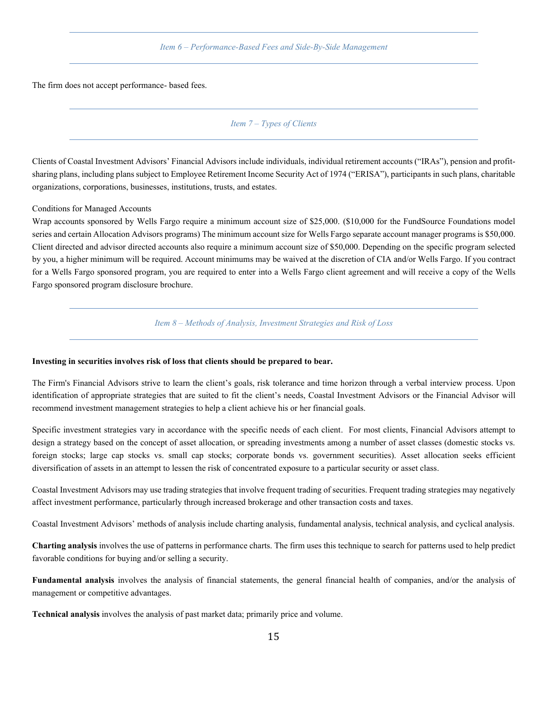*Item 6 – Performance-Based Fees and Side-By-Side Management*

<span id="page-17-1"></span><span id="page-17-0"></span>The firm does not accept performance- based fees.

*Item 7 – Types of Clients*

Clients of Coastal Investment Advisors' Financial Advisors include individuals, individual retirement accounts ("IRAs"), pension and profitsharing plans, including plans subject to Employee Retirement Income Security Act of 1974 ("ERISA"), participants in such plans, charitable organizations, corporations, businesses, institutions, trusts, and estates.

Conditions for Managed Accounts

Wrap accounts sponsored by Wells Fargo require a minimum account size of \$25,000. (\$10,000 for the FundSource Foundations model series and certain Allocation Advisors programs) The minimum account size for Wells Fargo separate account manager programs is \$50,000. Client directed and advisor directed accounts also require a minimum account size of \$50,000. Depending on the specific program selected by you, a higher minimum will be required. Account minimums may be waived at the discretion of CIA and/or Wells Fargo. If you contract for a Wells Fargo sponsored program, you are required to enter into a Wells Fargo client agreement and will receive a copy of the Wells Fargo sponsored program disclosure brochure.

*Item 8 – Methods of Analysis, Investment Strategies and Risk of Loss*

### <span id="page-17-2"></span>**Investing in securities involves risk of loss that clients should be prepared to bear.**

The Firm's Financial Advisors strive to learn the client's goals, risk tolerance and time horizon through a verbal interview process. Upon identification of appropriate strategies that are suited to fit the client's needs, Coastal Investment Advisors or the Financial Advisor will recommend investment management strategies to help a client achieve his or her financial goals.

Specific investment strategies vary in accordance with the specific needs of each client. For most clients, Financial Advisors attempt to design a strategy based on the concept of asset allocation, or spreading investments among a number of asset classes (domestic stocks vs. foreign stocks; large cap stocks vs. small cap stocks; corporate bonds vs. government securities). Asset allocation seeks efficient diversification of assets in an attempt to lessen the risk of concentrated exposure to a particular security or asset class.

Coastal Investment Advisors may use trading strategies that involve frequent trading of securities. Frequent trading strategies may negatively affect investment performance, particularly through increased brokerage and other transaction costs and taxes.

Coastal Investment Advisors' methods of analysis include charting analysis, fundamental analysis, technical analysis, and cyclical analysis.

**Charting analysis** involves the use of patterns in performance charts. The firm uses this technique to search for patterns used to help predict favorable conditions for buying and/or selling a security.

**Fundamental analysis** involves the analysis of financial statements, the general financial health of companies, and/or the analysis of management or competitive advantages.

**Technical analysis** involves the analysis of past market data; primarily price and volume.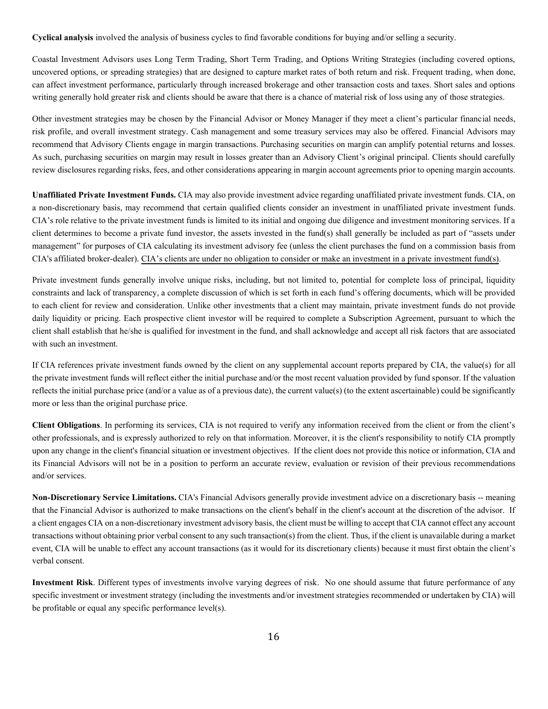**Cyclical analysis** involved the analysis of business cycles to find favorable conditions for buying and/or selling a security.

Coastal Investment Advisors uses Long Term Trading, Short Term Trading, and Options Writing Strategies (including covered options, uncovered options, or spreading strategies) that are designed to capture market rates of both return and risk. Frequent trading, when done, can affect investment performance, particularly through increased brokerage and other transaction costs and taxes. Short sales and options writing generally hold greater risk and clients should be aware that there is a chance of material risk of loss using any of those strategies.

Other investment strategies may be chosen by the Financial Advisor or Money Manager if they meet a client's particular financial needs, risk profile, and overall investment strategy. Cash management and some treasury services may also be offered. Financial Advisors may recommend that Advisory Clients engage in margin transactions. Purchasing securities on margin can amplify potential returns and losses. As such, purchasing securities on margin may result in losses greater than an Advisory Client's original principal. Clients should carefully review disclosures regarding risks, fees, and other considerations appearing in margin account agreements prior to opening margin accounts.

**Unaffiliated Private Investment Funds.** CIA may also provide investment advice regarding unaffiliated private investment funds. CIA, on a non-discretionary basis, may recommend that certain qualified clients consider an investment in unaffiliated private investment funds. CIA's role relative to the private investment funds is limited to its initial and ongoing due diligence and investment monitoring services. If a client determines to become a private fund investor, the assets invested in the fund(s) shall generally be included as part of "assets under management" for purposes of CIA calculating its investment advisory fee (unless the client purchases the fund on a commission basis from CIA's affiliated broker-dealer). CIA's clients are under no obligation to consider or make an investment in a private investment fund(s).

Private investment funds generally involve unique risks, including, but not limited to, potential for complete loss of principal, liquidity constraints and lack of transparency, a complete discussion of which is set forth in each fund's offering documents, which will be provided to each client for review and consideration. Unlike other investments that a client may maintain, private investment funds do not provide daily liquidity or pricing. Each prospective client investor will be required to complete a Subscription Agreement, pursuant to which the client shall establish that he/she is qualified for investment in the fund, and shall acknowledge and accept all risk factors that are associated with such an investment.

If CIA references private investment funds owned by the client on any supplemental account reports prepared by CIA, the value(s) for all the private investment funds will reflect either the initial purchase and/or the most recent valuation provided by fund sponsor. If the valuation reflects the initial purchase price (and/or a value as of a previous date), the current value(s) (to the extent ascertainable) could be significantly more or less than the original purchase price.

**Client Obligations**. In performing its services, CIA is not required to verify any information received from the client or from the client's other professionals, and is expressly authorized to rely on that information. Moreover, it is the client's responsibility to notify CIA promptly upon any change in the client's financial situation or investment objectives. If the client does not provide this notice or information, CIA and its Financial Advisors will not be in a position to perform an accurate review, evaluation or revision of their previous recommendations and/or services.

**Non-Discretionary Service Limitations.** CIA's Financial Advisors generally provide investment advice on a discretionary basis -- meaning that the Financial Advisor is authorized to make transactions on the client's behalf in the client's account at the discretion of the advisor. If a clientengages CIA on a non-discretionary investment advisory basis, the client must be willing to accept that CIA cannot effect any account transactions without obtaining prior verbal consent to any such transaction(s) from the client. Thus, if the client is unavailable during a market event, CIA will be unable to effect any account transactions (as it would for its discretionary clients) because it must first obtain the client's verbal consent.

**Investment Risk**. Different types of investments involve varying degrees of risk. No one should assume that future performance of any specific investment or investment strategy (including the investments and/or investment strategies recommended or undertaken by CIA) will be profitable or equal any specific performance level(s).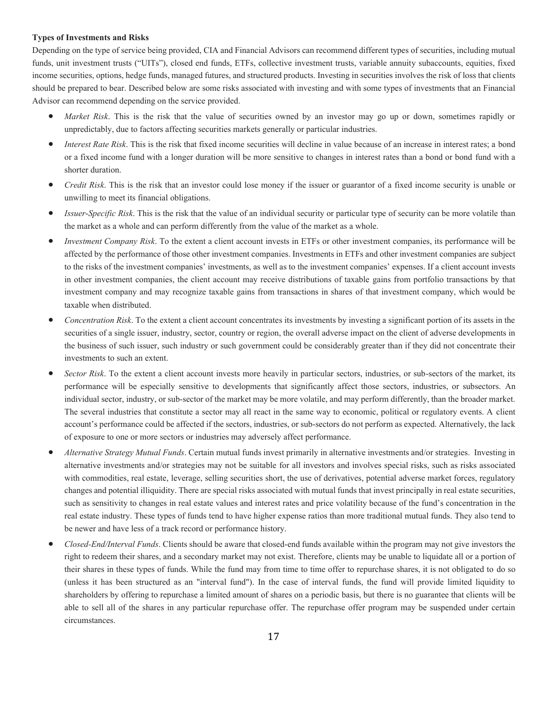# **Types of Investments and Risks**

Depending on the type of service being provided, CIA and Financial Advisors can recommend different types of securities, including mutual funds, unit investment trusts ("UITs"), closed end funds, ETFs, collective investment trusts, variable annuity subaccounts, equities, fixed income securities, options, hedge funds, managed futures, and structured products. Investing in securities involves the risk of loss that clients should be prepared to bear. Described below are some risks associated with investing and with some types of investments that an Financial Advisor can recommend depending on the service provided.

- *Market Risk*. This is the risk that the value of securities owned by an investor may go up or down, sometimes rapidly or unpredictably, due to factors affecting securities markets generally or particular industries.
- *Interest Rate Risk*. This is the risk that fixed income securities will decline in value because of an increase in interest rates; a bond or a fixed income fund with a longer duration will be more sensitive to changes in interest rates than a bond or bond fund with a shorter duration.
- *Credit Risk*. This is the risk that an investor could lose money if the issuer or guarantor of a fixed income security is unable or unwilling to meet its financial obligations.
- *Issuer*-*Specific Risk*. This is the risk that the value of an individual security or particular type of security can be more volatile than the market as a whole and can perform differently from the value of the market as a whole.
- *Investment Company Risk*. To the extent a client account invests in ETFs or other investment companies, its performance will be affected by the performance of those other investment companies. Investments in ETFs and other investment companies are subject to the risks of the investment companies' investments, as well as to the investment companies' expenses. If a client account invests in other investment companies, the client account may receive distributions of taxable gains from portfolio transactions by that investment company and may recognize taxable gains from transactions in shares of that investment company, which would be taxable when distributed.
- *Concentration Risk*. To the extent a client account concentrates its investments by investing a significant portion of its assets in the securities of a single issuer, industry, sector, country or region, the overall adverse impact on the client of adverse developments in the business of such issuer, such industry or such government could be considerably greater than if they did not concentrate their investments to such an extent.
- *Sector Risk*. To the extent a client account invests more heavily in particular sectors, industries, or sub-sectors of the market, its performance will be especially sensitive to developments that significantly affect those sectors, industries, or subsectors. An individual sector, industry, or sub-sector of the market may be more volatile, and may perform differently, than the broader market. The several industries that constitute a sector may all react in the same way to economic, political or regulatory events. A client account's performance could be affected if the sectors, industries, or sub-sectors do not perform as expected. Alternatively, the lack of exposure to one or more sectors or industries may adversely affect performance.
- *Alternative Strategy Mutual Funds*. Certain mutual funds invest primarily in alternative investments and/or strategies. Investing in alternative investments and/or strategies may not be suitable for all investors and involves special risks, such as risks associated with commodities, real estate, leverage, selling securities short, the use of derivatives, potential adverse market forces, regulatory changes and potential illiquidity. There are special risks associated with mutual funds that invest principally in real estate securities, such as sensitivity to changes in real estate values and interest rates and price volatility because of the fund's concentration in the real estate industry. These types of funds tend to have higher expense ratios than more traditional mutual funds. They also tend to be newer and have less of a track record or performance history.
- *Closed-End/Interval Funds*. Clients should be aware that closed-end funds available within the program may not give investors the right to redeem their shares, and a secondary market may not exist. Therefore, clients may be unable to liquidate all or a portion of their shares in these types of funds. While the fund may from time to time offer to repurchase shares, it is not obligated to do so (unless it has been structured as an "interval fund"). In the case of interval funds, the fund will provide limited liquidity to shareholders by offering to repurchase a limited amount of shares on a periodic basis, but there is no guarantee that clients will be able to sell all of the shares in any particular repurchase offer. The repurchase offer program may be suspended under certain circumstances.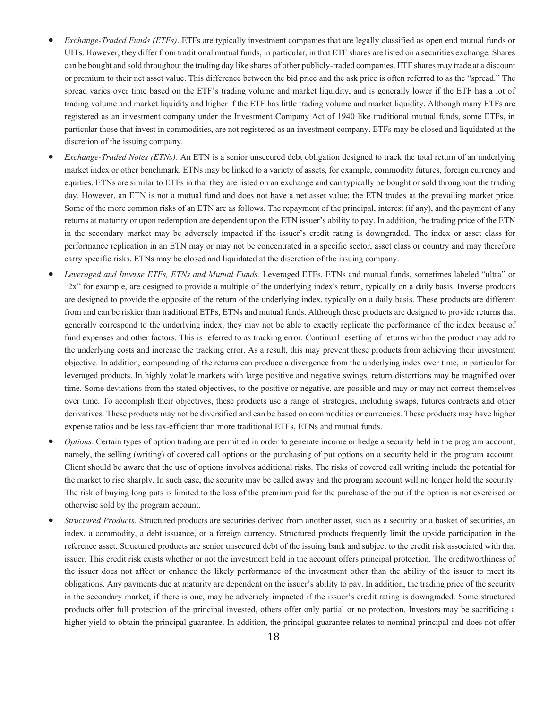- *Exchange-Traded Funds (ETFs)*. ETFs are typically investment companies that are legally classified as open end mutual funds or UITs. However, they differ from traditional mutual funds, in particular, in that ETF shares are listed on a securities exchange. Shares can be bought and sold throughout the trading day like shares of other publicly-traded companies. ETF shares may trade at a discount or premium to their net asset value. This difference between the bid price and the ask price is often referred to as the "spread." The spread varies over time based on the ETF's trading volume and market liquidity, and is generally lower if the ETF has a lot of trading volume and market liquidity and higher if the ETF has little trading volume and market liquidity. Although many ETFs are registered as an investment company under the Investment Company Act of 1940 like traditional mutual funds, some ETFs, in particular those that invest in commodities, are not registered as an investment company. ETFs may be closed and liquidated at the discretion of the issuing company.
- *Exchange-Traded Notes (ETNs)*. An ETN is a senior unsecured debt obligation designed to track the total return of an underlying market index or other benchmark. ETNs may be linked to a variety of assets, for example, commodity futures, foreign currency and equities. ETNs are similar to ETFs in that they are listed on an exchange and can typically be bought or sold throughout the trading day. However, an ETN is not a mutual fund and does not have a net asset value; the ETN trades at the prevailing market price. Some of the more common risks of an ETN are as follows. The repayment of the principal, interest (if any), and the payment of any returns at maturity or upon redemption are dependent upon the ETN issuer's ability to pay. In addition, the trading price of the ETN in the secondary market may be adversely impacted if the issuer's credit rating is downgraded. The index or asset class for performance replication in an ETN may or may not be concentrated in a specific sector, asset class or country and may therefore carry specific risks. ETNs may be closed and liquidated at the discretion of the issuing company.
- *Leveraged and Inverse ETFs, ETNs and Mutual Funds*. Leveraged ETFs, ETNs and mutual funds, sometimes labeled "ultra" or "2x" for example, are designed to provide a multiple of the underlying index's return, typically on a daily basis. Inverse products are designed to provide the opposite of the return of the underlying index, typically on a daily basis. These products are different from and can be riskier than traditional ETFs, ETNs and mutual funds. Although these products are designed to provide returns that generally correspond to the underlying index, they may not be able to exactly replicate the performance of the index because of fund expenses and other factors. This is referred to as tracking error. Continual resetting of returns within the product may add to the underlying costs and increase the tracking error. As a result, this may prevent these products from achieving their investment objective. In addition, compounding of the returns can produce a divergence from the underlying index over time, in particular for leveraged products. In highly volatile markets with large positive and negative swings, return distortions may be magnified over time. Some deviations from the stated objectives, to the positive or negative, are possible and may or may not correct themselves over time. To accomplish their objectives, these products use a range of strategies, including swaps, futures contracts and other derivatives. These products may not be diversified and can be based on commodities or currencies. These products may have higher expense ratios and be less tax-efficient than more traditional ETFs, ETNs and mutual funds.
- *Options*. Certain types of option trading are permitted in order to generate income or hedge a security held in the program account; namely, the selling (writing) of covered call options or the purchasing of put options on a security held in the program account. Client should be aware that the use of options involves additional risks. The risks of covered call writing include the potential for the market to rise sharply. In such case, the security may be called away and the program account will no longer hold the security. The risk of buying long puts is limited to the loss of the premium paid for the purchase of the put if the option is not exercised or otherwise sold by the program account.
- *Structured Products*. Structured products are securities derived from another asset, such as a security or a basket of securities, an index, a commodity, a debt issuance, or a foreign currency. Structured products frequently limit the upside participation in the reference asset. Structured products are senior unsecured debt of the issuing bank and subject to the credit risk associated with that issuer. This credit risk exists whether or not the investment held in the account offers principal protection. The creditworthiness of the issuer does not affect or enhance the likely performance of the investment other than the ability of the issuer to meet its obligations. Any payments due at maturity are dependent on the issuer's ability to pay. In addition, the trading price of the security in the secondary market, if there is one, may be adversely impacted if the issuer's credit rating is downgraded. Some structured products offer full protection of the principal invested, others offer only partial or no protection. Investors may be sacrificing a higher yield to obtain the principal guarantee. In addition, the principal guarantee relates to nominal principal and does not offer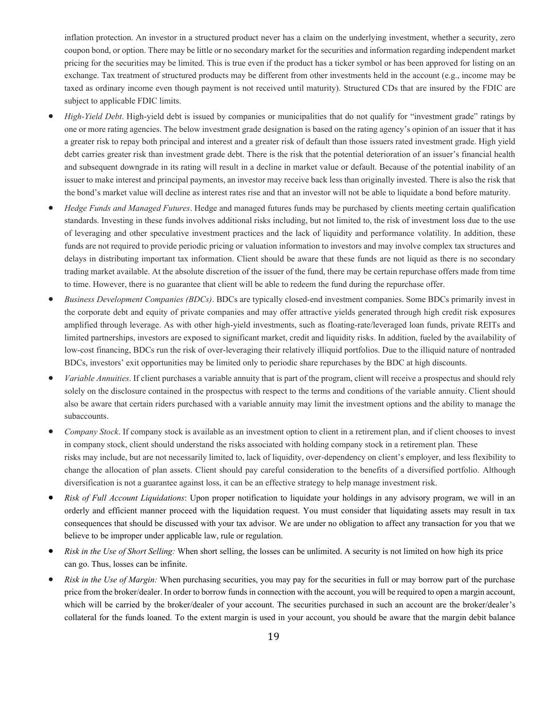inflation protection. An investor in a structured product never has a claim on the underlying investment, whether a security, zero coupon bond, or option. There may be little or no secondary market for the securities and information regarding independent market pricing for the securities may be limited. This is true even if the product has a ticker symbol or has been approved for listing on an exchange. Tax treatment of structured products may be different from other investments held in the account (e.g., income may be taxed as ordinary income even though payment is not received until maturity). Structured CDs that are insured by the FDIC are subject to applicable FDIC limits.

- *High-Yield Debt*. High-yield debt is issued by companies or municipalities that do not qualify for "investment grade" ratings by one or more rating agencies. The below investment grade designation is based on the rating agency's opinion of an issuer that it has a greater risk to repay both principal and interest and a greater risk of default than those issuers rated investment grade. High yield debt carries greater risk than investment grade debt. There is the risk that the potential deterioration of an issuer's financial health and subsequent downgrade in its rating will result in a decline in market value or default. Because of the potential inability of an issuer to make interest and principal payments, an investor may receive back less than originally invested. There is also the risk that the bond's market value will decline as interest rates rise and that an investor will not be able to liquidate a bond before maturity.
- *Hedge Funds and Managed Futures*. Hedge and managed futures funds may be purchased by clients meeting certain qualification standards. Investing in these funds involves additional risks including, but not limited to, the risk of investment loss due to the use of leveraging and other speculative investment practices and the lack of liquidity and performance volatility. In addition, these funds are not required to provide periodic pricing or valuation information to investors and may involve complex tax structures and delays in distributing important tax information. Client should be aware that these funds are not liquid as there is no secondary trading market available. At the absolute discretion of the issuer of the fund, there may be certain repurchase offers made from time to time. However, there is no guarantee that client will be able to redeem the fund during the repurchase offer.
- *Business Development Companies (BDCs)*. BDCs are typically closed-end investment companies. Some BDCs primarily invest in the corporate debt and equity of private companies and may offer attractive yields generated through high credit risk exposures amplified through leverage. As with other high-yield investments, such as floating-rate/leveraged loan funds, private REITs and limited partnerships, investors are exposed to significant market, credit and liquidity risks. In addition, fueled by the availability of low-cost financing, BDCs run the risk of over-leveraging their relatively illiquid portfolios. Due to the illiquid nature of nontraded BDCs, investors' exit opportunities may be limited only to periodic share repurchases by the BDC at high discounts.
- *Variable Annuities*. If client purchases a variable annuity that is part of the program, client will receive a prospectus and should rely solely on the disclosure contained in the prospectus with respect to the terms and conditions of the variable annuity. Client should also be aware that certain riders purchased with a variable annuity may limit the investment options and the ability to manage the subaccounts.
- *Company Stock*. If company stock is available as an investment option to client in a retirement plan, and if client chooses to invest in company stock, client should understand the risks associated with holding company stock in a retirement plan. These risks may include, but are not necessarily limited to, lack of liquidity, over-dependency on client's employer, and less flexibility to change the allocation of plan assets. Client should pay careful consideration to the benefits of a diversified portfolio. Although diversification is not a guarantee against loss, it can be an effective strategy to help manage investment risk.
- *Risk of Full Account Liquidations*: Upon proper notification to liquidate your holdings in any advisory program, we will in an orderly and efficient manner proceed with the liquidation request. You must consider that liquidating assets may result in tax consequences that should be discussed with your tax advisor. We are under no obligation to affect any transaction for you that we believe to be improper under applicable law, rule or regulation.
- *Risk in the Use of Short Selling:* When short selling, the losses can be unlimited. A security is not limited on how high its price can go. Thus, losses can be infinite.
- *Risk in the Use of Margin:* When purchasing securities, you may pay for the securities in full or may borrow part of the purchase price from the broker/dealer. In order to borrow funds in connection with the account, you will be required to open a margin account, which will be carried by the broker/dealer of your account. The securities purchased in such an account are the broker/dealer's collateral for the funds loaned. To the extent margin is used in your account, you should be aware that the margin debit balance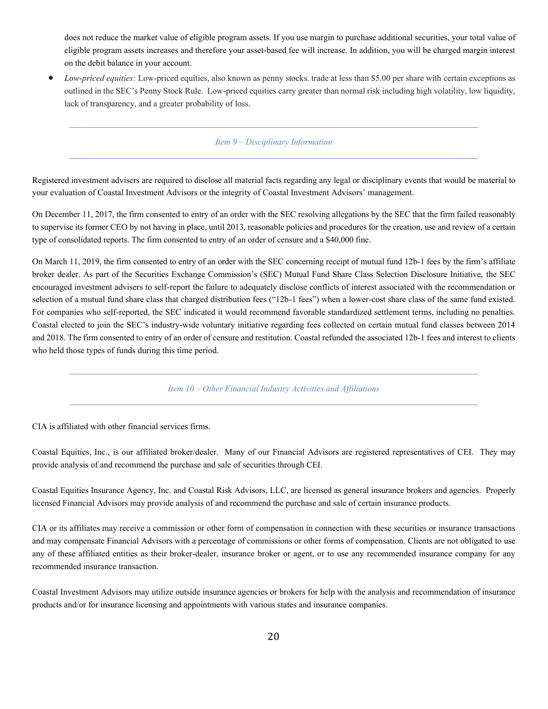does not reduce the market value of eligible program assets. If you use margin to purchase additional securities, your total value of eligible program assets increases and therefore your asset-based fee will increase. In addition, you will be charged margin interest on the debit balance in your account.

<span id="page-22-0"></span>• *Low-priced equities:* Low-priced equities, also known as penny stocks. trade at less than \$5.00 per share with certain exceptions as outlined in the SEC's Penny Stock Rule. Low-priced equities carry greater than normal risk including high volatility, low liquidity, lack of transparency, and a greater probability of loss.

# *Item 9 – Disciplinary Information*

Registered investment advisers are required to disclose all material facts regarding any legal or disciplinary events that would be material to your evaluation of Coastal Investment Advisors or the integrity of Coastal Investment Advisors' management.

On December 11, 2017, the firm consented to entry of an order with the SEC resolving allegations by the SEC that the firm failed reasonably to supervise its former CEO by not having in place, until 2013, reasonable policies and procedures for the creation, use and review of a certain type of consolidated reports. The firm consented to entry of an order of censure and a \$40,000 fine.

On March 11, 2019, the firm consented to entry of an order with the SEC concerning receipt of mutual fund 12b-1 fees by the firm's affiliate broker dealer. As part of the Securities Exchange Commission's (SEC) Mutual Fund Share Class Selection Disclosure Initiative, the SEC encouraged investment advisers to self-report the failure to adequately disclose conflicts of interest associated with the recommendation or selection of a mutual fund share class that charged distribution fees ("12b-1 fees") when a lower-cost share class of the same fund existed. For companies who self-reported, the SEC indicated it would recommend favorable standardized settlement terms, including no penalties. Coastal elected to join the SEC's industry-wide voluntary initiative regarding fees collected on certain mutual fund classes between 2014 and 2018. The firm consented to entry of an order of censure and restitution. Coastal refunded the associated 12b-1 fees and interest to clients who held those types of funds during this time period.

*Item 10 – Other Financial Industry Activities and Affiliations*

<span id="page-22-1"></span>CIA is affiliated with other financial services firms.

Coastal Equities, Inc., is our affiliated broker/dealer. Many of our Financial Advisors are registered representatives of CEI. They may provide analysis of and recommend the purchase and sale of securities through CEI.

Coastal Equities Insurance Agency, Inc. and Coastal Risk Advisors, LLC, are licensed as general insurance brokers and agencies. Properly licensed Financial Advisors may provide analysis of and recommend the purchase and sale of certain insurance products.

CIA or its affiliates may receive a commission or other form of compensation in connection with these securities or insurance transactions and may compensate Financial Advisors with a percentage of commissions or other forms of compensation. Clients are not obligated to use any of these affiliated entities as their broker-dealer, insurance broker or agent, or to use any recommended insurance company for any recommended insurance transaction.

Coastal Investment Advisors may utilize outside insurance agencies or brokers for help with the analysis and recommendation of insurance products and/or for insurance licensing and appointments with various states and insurance companies.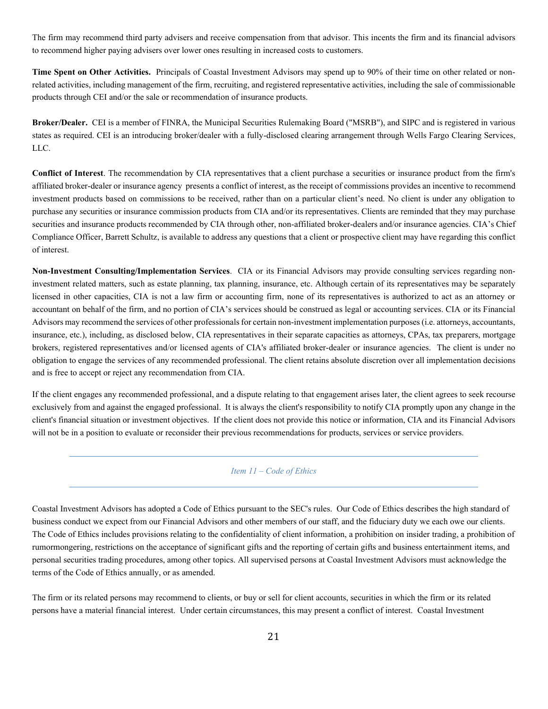The firm may recommend third party advisers and receive compensation from that advisor. This incents the firm and its financial advisors to recommend higher paying advisers over lower ones resulting in increased costs to customers.

**Time Spent on Other Activities.** Principals of Coastal Investment Advisors may spend up to 90% of their time on other related or nonrelated activities, including management of the firm, recruiting, and registered representative activities, including the sale of commissionable products through CEI and/or the sale or recommendation of insurance products.

**Broker/Dealer.** CEI is a member of FINRA, the Municipal Securities Rulemaking Board ("MSRB"), and SIPC and is registered in various states as required. CEI is an introducing broker/dealer with a fully-disclosed clearing arrangement through Wells Fargo Clearing Services, LLC.

**Conflict of Interest**. The recommendation by CIA representatives that a client purchase a securities or insurance product from the firm's affiliated broker-dealer or insurance agency presents a conflict of interest, as the receipt of commissions providesan incentive to recommend investment products based on commissions to be received, rather than on a particular client's need. No client is under any obligation to purchase any securities or insurance commission products from CIA and/or its representatives. Clients are reminded that they may purchase securities and insurance products recommended by CIA through other, non-affiliated broker-dealers and/or insurance agencies. CIA's Chief Compliance Officer, Barrett Schultz, is available to address any questions that a client or prospective client may have regarding this conflict of interest.

**Non-Investment Consulting/Implementation Services**. CIA or its Financial Advisors may provide consulting services regarding noninvestment related matters, such as estate planning, tax planning, insurance, etc. Although certain of its representatives may be separately licensed in other capacities, CIA is not a law firm or accounting firm, none of its representatives is authorized to act as an attorney or accountant on behalf of the firm, and no portion of CIA's services should be construed as legal or accounting services. CIA or its Financial Advisors may recommend the services of other professionals for certain non-investment implementation purposes (i.e. attorneys, accountants, insurance, etc.), including, as disclosed below, CIA representatives in their separate capacities as attorneys, CPAs, tax preparers, mortgage brokers, registered representatives and/or licensed agents of CIA's affiliated broker-dealer or insurance agencies. The client is under no obligation to engage the services of any recommended professional. The client retains absolute discretion over all implementation decisions and is free to accept or reject any recommendation from CIA.

If the client engages any recommended professional, and a dispute relating to that engagement arises later, the client agrees to seek recourse exclusively from and against the engaged professional. It is always the client's responsibility to notify CIA promptly upon any change in the client's financial situation or investment objectives. If the client does not provide this notice or information, CIA and its Financial Advisors will not be in a position to evaluate or reconsider their previous recommendations for products, services or service providers.

# <span id="page-23-0"></span>*Item 11 – Code of Ethics*

Coastal Investment Advisors has adopted a Code of Ethics pursuant to the SEC's rules. Our Code of Ethics describes the high standard of business conduct we expect from our Financial Advisors and other members of our staff, and the fiduciary duty we each owe our clients. The Code of Ethics includes provisions relating to the confidentiality of client information, a prohibition on insider trading, a prohibition of rumormongering, restrictions on the acceptance of significant gifts and the reporting of certain gifts and business entertainment items, and personal securities trading procedures, among other topics. All supervised persons at Coastal Investment Advisors must acknowledge the terms of the Code of Ethics annually, or as amended.

The firm or its related persons may recommend to clients, or buy or sell for client accounts, securities in which the firm or its related persons have a material financial interest. Under certain circumstances, this may present a conflict of interest. Coastal Investment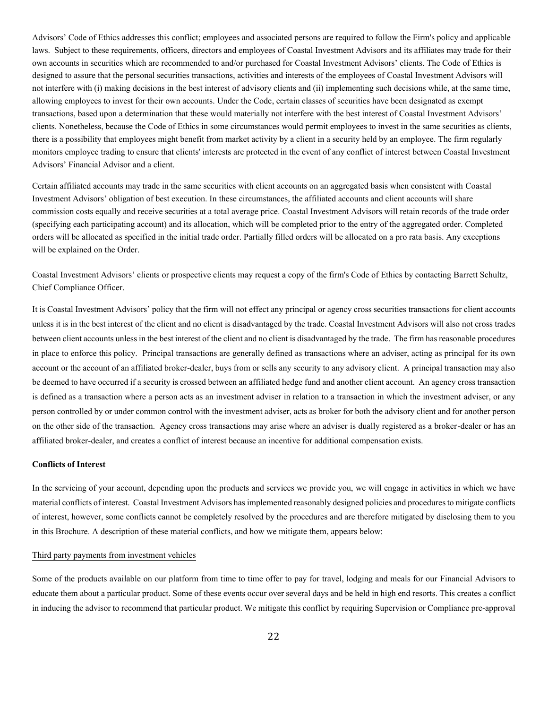Advisors' Code of Ethics addresses this conflict; employees and associated persons are required to follow the Firm's policy and applicable laws. Subject to these requirements, officers, directors and employees of Coastal Investment Advisors and its affiliates may trade for their own accounts in securities which are recommended to and/or purchased for Coastal Investment Advisors' clients. The Code of Ethics is designed to assure that the personal securities transactions, activities and interests of the employees of Coastal Investment Advisors will not interfere with (i) making decisions in the best interest of advisory clients and (ii) implementing such decisions while, at the same time, allowing employees to invest for their own accounts. Under the Code, certain classes of securities have been designated as exempt transactions, based upon a determination that these would materially not interfere with the best interest of Coastal Investment Advisors' clients. Nonetheless, because the Code of Ethics in some circumstances would permit employees to invest in the same securities as clients, there is a possibility that employees might benefit from market activity by a client in a security held by an employee. The firm regularly monitors employee trading to ensure that clients' interests are protected in the event of any conflict of interest between Coastal Investment Advisors' Financial Advisor and a client.

Certain affiliated accounts may trade in the same securities with client accounts on an aggregated basis when consistent with Coastal Investment Advisors' obligation of best execution. In these circumstances, the affiliated accounts and client accounts will share commission costs equally and receive securities at a total average price. Coastal Investment Advisors will retain records of the trade order (specifying each participating account) and its allocation, which will be completed prior to the entry of the aggregated order. Completed orders will be allocated as specified in the initial trade order. Partially filled orders will be allocated on a pro rata basis. Any exceptions will be explained on the Order.

Coastal Investment Advisors' clients or prospective clients may request a copy of the firm's Code of Ethics by contacting Barrett Schultz, Chief Compliance Officer.

It is Coastal Investment Advisors' policy that the firm will not effect any principal or agency cross securities transactions for client accounts unless it is in the best interest of the client and no client is disadvantaged by the trade. Coastal Investment Advisors will also not cross trades between client accounts unless in the best interest of the client and no client is disadvantaged by the trade. The firm has reasonable procedures in place to enforce this policy. Principal transactions are generally defined as transactions where an adviser, acting as principal for its own account or the account of an affiliated broker-dealer, buys from or sells any security to any advisory client. A principal transaction may also be deemed to have occurred if a security is crossed between an affiliated hedge fund and another client account. An agency cross transaction is defined as a transaction where a person acts as an investment adviser in relation to a transaction in which the investment adviser, or any person controlled by or under common control with the investment adviser, acts as broker for both the advisory client and for another person on the other side of the transaction. Agency cross transactions may arise where an adviser is dually registered as a broker-dealer or has an affiliated broker-dealer, and creates a conflict of interest because an incentive for additional compensation exists.

# **Conflicts of Interest**

In the servicing of your account, depending upon the products and services we provide you, we will engage in activities in which we have material conflicts of interest. Coastal Investment Advisors has implemented reasonably designed policies and procedures to mitigate conflicts of interest, however, some conflicts cannot be completely resolved by the procedures and are therefore mitigated by disclosing them to you in this Brochure. A description of these material conflicts, and how we mitigate them, appears below:

#### Third party payments from investment vehicles

Some of the products available on our platform from time to time offer to pay for travel, lodging and meals for our Financial Advisors to educate them about a particular product. Some of these events occur over several days and be held in high end resorts. This creates a conflict in inducing the advisor to recommend that particular product. We mitigate this conflict by requiring Supervision or Compliance pre-approval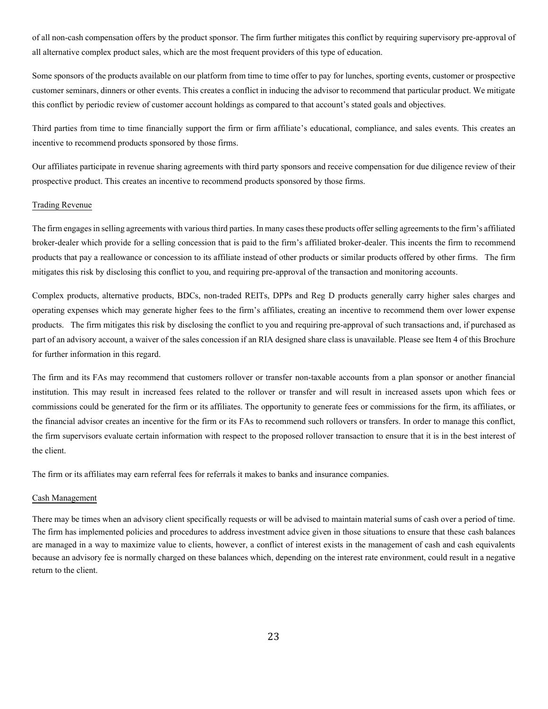of all non-cash compensation offers by the product sponsor. The firm further mitigates this conflict by requiring supervisory pre-approval of all alternative complex product sales, which are the most frequent providers of this type of education.

Some sponsors of the products available on our platform from time to time offer to pay for lunches, sporting events, customer or prospective customer seminars, dinners or other events. This creates a conflict in inducing the advisor to recommend that particular product. We mitigate this conflict by periodic review of customer account holdings as compared to that account's stated goals and objectives.

Third parties from time to time financially support the firm or firm affiliate's educational, compliance, and sales events. This creates an incentive to recommend products sponsored by those firms.

Our affiliates participate in revenue sharing agreements with third party sponsors and receive compensation for due diligence review of their prospective product. This creates an incentive to recommend products sponsored by those firms.

#### Trading Revenue

The firm engages in selling agreements with various third parties. In many cases these products offer selling agreements to the firm's affiliated broker-dealer which provide for a selling concession that is paid to the firm's affiliated broker-dealer. This incents the firm to recommend products that pay a reallowance or concession to its affiliate instead of other products or similar products offered by other firms. The firm mitigates this risk by disclosing this conflict to you, and requiring pre-approval of the transaction and monitoring accounts.

Complex products, alternative products, BDCs, non-traded REITs, DPPs and Reg D products generally carry higher sales charges and operating expenses which may generate higher fees to the firm's affiliates, creating an incentive to recommend them over lower expense products. The firm mitigates this risk by disclosing the conflict to you and requiring pre-approval of such transactions and, if purchased as part of an advisory account, a waiver of the sales concession if an RIA designed share class is unavailable. Please see Item 4 of this Brochure for further information in this regard.

The firm and its FAs may recommend that customers rollover or transfer non-taxable accounts from a plan sponsor or another financial institution. This may result in increased fees related to the rollover or transfer and will result in increased assets upon which fees or commissions could be generated for the firm or its affiliates. The opportunity to generate fees or commissions for the firm, its affiliates, or the financial advisor creates an incentive for the firm or its FAs to recommend such rollovers or transfers. In order to manage this conflict, the firm supervisors evaluate certain information with respect to the proposed rollover transaction to ensure that it is in the best interest of the client.

The firm or its affiliates may earn referral fees for referrals it makes to banks and insurance companies.

#### Cash Management

There may be times when an advisory client specifically requests or will be advised to maintain material sums of cash over a period of time. The firm has implemented policies and procedures to address investment advice given in those situations to ensure that these cash balances are managed in a way to maximize value to clients, however, a conflict of interest exists in the management of cash and cash equivalents because an advisory fee is normally charged on these balances which, depending on the interest rate environment, could result in a negative return to the client.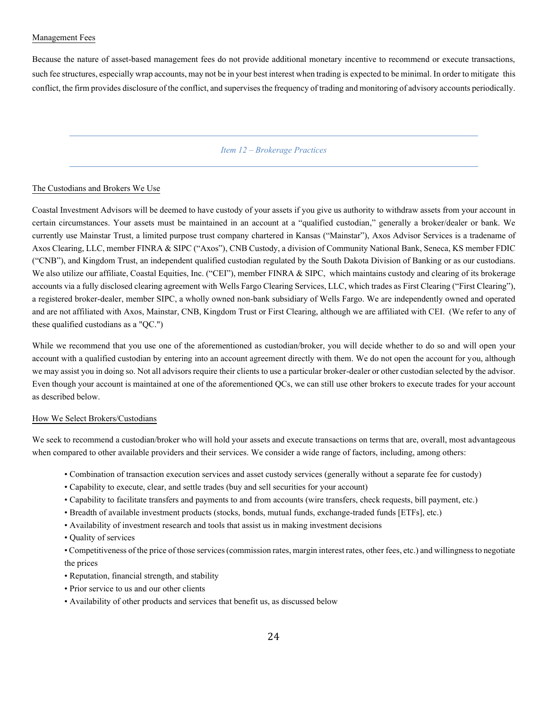### Management Fees

Because the nature of asset-based management fees do not provide additional monetary incentive to recommend or execute transactions, such fee structures, especially wrap accounts, may not be in your best interest when trading is expected to be minimal. In order to mitigate this conflict, the firm provides disclosure of the conflict, and supervises the frequency of trading and monitoring of advisory accounts periodically.

# *Item 12 – Brokerage Practices*

#### <span id="page-26-0"></span>The Custodians and Brokers We Use

Coastal Investment Advisors will be deemed to have custody of your assets if you give us authority to withdraw assets from your account in certain circumstances. Your assets must be maintained in an account at a "qualified custodian," generally a broker/dealer or bank. We currently use Mainstar Trust, a limited purpose trust company chartered in Kansas ("Mainstar"), Axos Advisor Services is a tradename of Axos Clearing, LLC, member FINRA & SIPC ("Axos"), CNB Custody, a division of Community National Bank, Seneca, KS member FDIC ("CNB"), and Kingdom Trust, an independent qualified custodian regulated by the South Dakota Division of Banking or as our custodians. We also utilize our affiliate, Coastal Equities, Inc. ("CEI"), member FINRA & SIPC, which maintains custody and clearing of its brokerage accounts via a fully disclosed clearing agreement with Wells Fargo Clearing Services, LLC, which trades as First Clearing ("First Clearing"), a registered broker-dealer, member SIPC, a wholly owned non-bank subsidiary of Wells Fargo. We are independently owned and operated and are not affiliated with Axos, Mainstar, CNB, Kingdom Trust or First Clearing, although we are affiliated with CEI. (We refer to any of these qualified custodians as a "QC.")

While we recommend that you use one of the aforementioned as custodian/broker, you will decide whether to do so and will open your account with a qualified custodian by entering into an account agreement directly with them. We do not open the account for you, although we may assist you in doing so. Not all advisors require their clients to use a particular broker-dealer or other custodian selected by the advisor. Even though your account is maintained at one of the aforementioned QCs, we can still use other brokers to execute trades for your account as described below.

#### How We Select Brokers/Custodians

We seek to recommend a custodian/broker who will hold your assets and execute transactions on terms that are, overall, most advantageous when compared to other available providers and their services. We consider a wide range of factors, including, among others:

- Combination of transaction execution services and asset custody services (generally without a separate fee for custody)
- Capability to execute, clear, and settle trades (buy and sell securities for your account)
- Capability to facilitate transfers and payments to and from accounts (wire transfers, check requests, bill payment, etc.)
- Breadth of available investment products (stocks, bonds, mutual funds, exchange-traded funds [ETFs], etc.)
- Availability of investment research and tools that assist us in making investment decisions
- Quality of services

• Competitiveness of the price of those services (commission rates, margin interest rates, other fees, etc.) and willingness to negotiate the prices

- Reputation, financial strength, and stability
- Prior service to us and our other clients
- Availability of other products and services that benefit us, as discussed below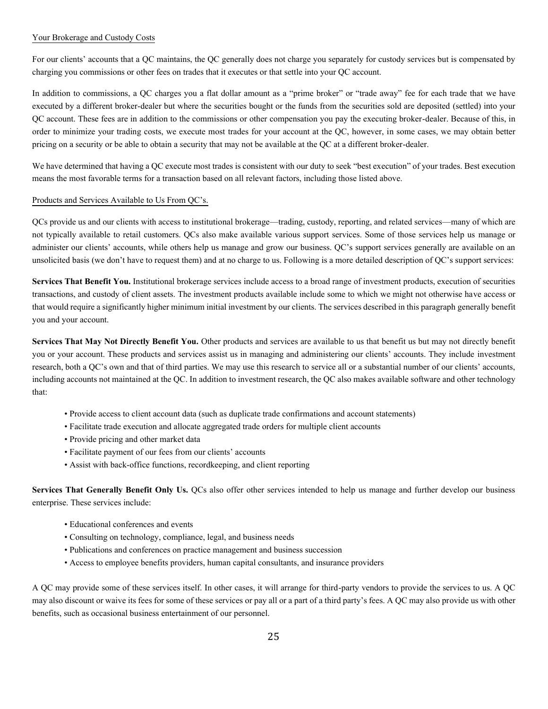# Your Brokerage and Custody Costs

For our clients' accounts that a QC maintains, the QC generally does not charge you separately for custody services but is compensated by charging you commissions or other fees on trades that it executes or that settle into your QC account.

In addition to commissions, a QC charges you a flat dollar amount as a "prime broker" or "trade away" fee for each trade that we have executed by a different broker-dealer but where the securities bought or the funds from the securities sold are deposited (settled) into your QC account. These fees are in addition to the commissions or other compensation you pay the executing broker-dealer. Because of this, in order to minimize your trading costs, we execute most trades for your account at the QC, however, in some cases, we may obtain better pricing on a security or be able to obtain a security that may not be available at the QC at a different broker-dealer.

We have determined that having a OC execute most trades is consistent with our duty to seek "best execution" of your trades. Best execution means the most favorable terms for a transaction based on all relevant factors, including those listed above.

# Products and Services Available to Us From QC's.

QCs provide us and our clients with access to institutional brokerage—trading, custody, reporting, and related services—many of which are not typically available to retail customers. QCs also make available various support services. Some of those services help us manage or administer our clients' accounts, while others help us manage and grow our business. QC's support services generally are available on an unsolicited basis (we don't have to request them) and at no charge to us. Following is a more detailed description of QC's support services:

**Services That Benefit You.** Institutional brokerage services include access to a broad range of investment products, execution of securities transactions, and custody of client assets. The investment products available include some to which we might not otherwise have access or that would require a significantly higher minimum initial investment by our clients. The services described in this paragraph generally benefit you and your account.

**Services That May Not Directly Benefit You.** Other products and services are available to us that benefit us but may not directly benefit you or your account. These products and services assist us in managing and administering our clients' accounts. They include investment research, both a QC's own and that of third parties. We may use this research to service all or a substantial number of our clients' accounts, including accounts not maintained at the QC. In addition to investment research, the QC also makes available software and other technology that:

- Provide access to client account data (such as duplicate trade confirmations and account statements)
- Facilitate trade execution and allocate aggregated trade orders for multiple client accounts
- Provide pricing and other market data
- Facilitate payment of our fees from our clients' accounts
- Assist with back-office functions, recordkeeping, and client reporting

**Services That Generally Benefit Only Us.** QCs also offer other services intended to help us manage and further develop our business enterprise. These services include:

- Educational conferences and events
- Consulting on technology, compliance, legal, and business needs
- Publications and conferences on practice management and business succession
- Access to employee benefits providers, human capital consultants, and insurance providers

A QC may provide some of these services itself. In other cases, it will arrange for third-party vendors to provide the services to us. A QC may also discount or waive its fees for some of these services or pay all or a part of a third party's fees. A QC may also provide us with other benefits, such as occasional business entertainment of our personnel.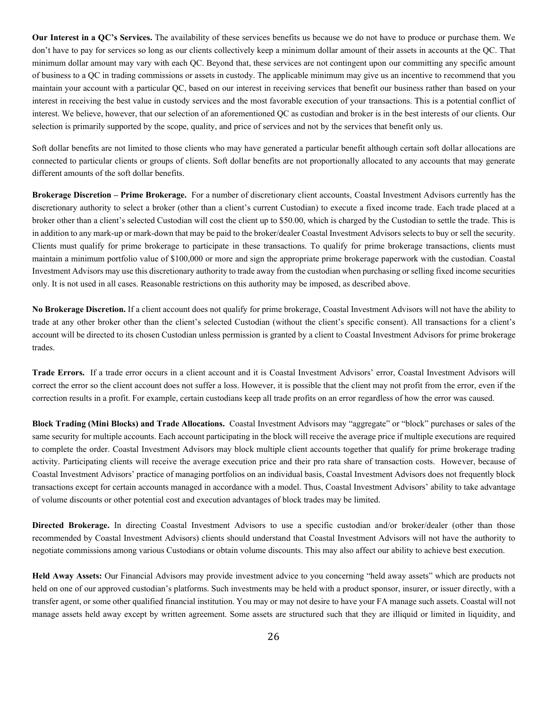**Our Interest in a QC's Services.** The availability of these services benefits us because we do not have to produce or purchase them. We don't have to pay for services so long as our clients collectively keep a minimum dollar amount of their assets in accounts at the QC. That minimum dollar amount may vary with each QC. Beyond that, these services are not contingent upon our committing any specific amount of business to a QC in trading commissions or assets in custody. The applicable minimum may give us an incentive to recommend that you maintain your account with a particular QC, based on our interest in receiving services that benefit our business rather than based on your interest in receiving the best value in custody services and the most favorable execution of your transactions. This is a potential conflict of interest. We believe, however, that our selection of an aforementioned QC as custodian and broker is in the best interests of our clients. Our selection is primarily supported by the scope, quality, and price of services and not by the services that benefit only us.

Soft dollar benefits are not limited to those clients who may have generated a particular benefit although certain soft dollar allocations are connected to particular clients or groups of clients. Soft dollar benefits are not proportionally allocated to any accounts that may generate different amounts of the soft dollar benefits.

**Brokerage Discretion – Prime Brokerage.** For a number of discretionary client accounts, Coastal Investment Advisors currently has the discretionary authority to select a broker (other than a client's current Custodian) to execute a fixed income trade. Each trade placed at a broker other than a client's selected Custodian will cost the client up to \$50.00, which is charged by the Custodian to settle the trade. This is in addition to any mark-up or mark-down that may be paid to the broker/dealer Coastal Investment Advisors selects to buy or sell the security. Clients must qualify for prime brokerage to participate in these transactions. To qualify for prime brokerage transactions, clients must maintain a minimum portfolio value of \$100,000 or more and sign the appropriate prime brokerage paperwork with the custodian. Coastal Investment Advisors may use this discretionary authority to trade away from the custodian when purchasing or selling fixed income securities only. It is not used in all cases. Reasonable restrictions on this authority may be imposed, as described above.

**No Brokerage Discretion.** If a client account does not qualify for prime brokerage, Coastal Investment Advisors will not have the ability to trade at any other broker other than the client's selected Custodian (without the client's specific consent). All transactions for a client's account will be directed to its chosen Custodian unless permission is granted by a client to Coastal Investment Advisors for prime brokerage trades.

**Trade Errors.** If a trade error occurs in a client account and it is Coastal Investment Advisors' error, Coastal Investment Advisors will correct the error so the client account does not suffer a loss. However, it is possible that the client may not profit from the error, even if the correction results in a profit. For example, certain custodians keep all trade profits on an error regardless of how the error was caused.

**Block Trading (Mini Blocks) and Trade Allocations.** Coastal Investment Advisors may "aggregate" or "block" purchases or sales of the same security for multiple accounts. Each account participating in the block will receive the average price if multiple executions are required to complete the order. Coastal Investment Advisors may block multiple client accounts together that qualify for prime brokerage trading activity. Participating clients will receive the average execution price and their pro rata share of transaction costs. However, because of Coastal Investment Advisors' practice of managing portfolios on an individual basis, Coastal Investment Advisors does not frequently block transactions except for certain accounts managed in accordance with a model. Thus, Coastal Investment Advisors' ability to take advantage of volume discounts or other potential cost and execution advantages of block trades may be limited.

**Directed Brokerage.** In directing Coastal Investment Advisors to use a specific custodian and/or broker/dealer (other than those recommended by Coastal Investment Advisors) clients should understand that Coastal Investment Advisors will not have the authority to negotiate commissions among various Custodians or obtain volume discounts. This may also affect our ability to achieve best execution.

**Held Away Assets:** Our Financial Advisors may provide investment advice to you concerning "held away assets" which are products not held on one of our approved custodian's platforms. Such investments may be held with a product sponsor, insurer, or issuer directly, with a transfer agent, or some other qualified financial institution. You may or may not desire to have your FA manage such assets. Coastal will not manage assets held away except by written agreement. Some assets are structured such that they are illiquid or limited in liquidity, and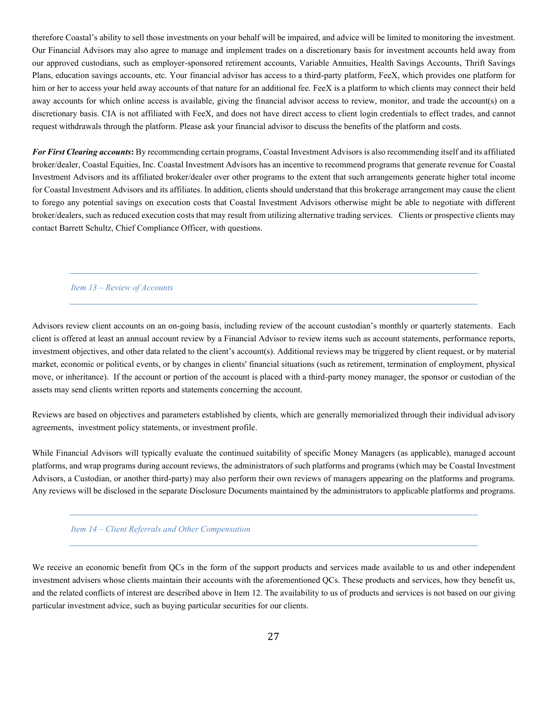therefore Coastal's ability to sell those investments on your behalf will be impaired, and advice will be limited to monitoring the investment. Our Financial Advisors may also agree to manage and implement trades on a discretionary basis for investment accounts held away from our approved custodians, such as employer-sponsored retirement accounts, Variable Annuities, Health Savings Accounts, Thrift Savings Plans, education savings accounts, etc. Your financial advisor has access to a third-party platform, FeeX, which provides one platform for him or her to access your held away accounts of that nature for an additional fee. FeeX is a platform to which clients may connect their held away accounts for which online access is available, giving the financial advisor access to review, monitor, and trade the account(s) on a discretionary basis. CIA is not affiliated with FeeX, and does not have direct access to client login credentials to effect trades, and cannot request withdrawals through the platform. Please ask your financial advisor to discuss the benefits of the platform and costs.

*For First Clearing accounts***:** By recommending certain programs, Coastal Investment Advisors is also recommending itself and its affiliated broker/dealer, Coastal Equities, Inc. Coastal Investment Advisors has an incentive to recommend programs that generate revenue for Coastal Investment Advisors and its affiliated broker/dealer over other programs to the extent that such arrangements generate higher total income for Coastal Investment Advisors and its affiliates. In addition, clients should understand that this brokerage arrangement may cause the client to forego any potential savings on execution costs that Coastal Investment Advisors otherwise might be able to negotiate with different broker/dealers, such as reduced execution costs that may result from utilizing alternative trading services. Clients or prospective clients may contact Barrett Schultz, Chief Compliance Officer, with questions.

<span id="page-29-0"></span>*Item 13 – Review of Accounts* 

Advisors review client accounts on an on-going basis, including review of the account custodian's monthly or quarterly statements. Each client is offered at least an annual account review by a Financial Advisor to review items such as account statements, performance reports, investment objectives, and other data related to the client's account(s). Additional reviews may be triggered by client request, or by material market, economic or political events, or by changes in clients' financial situations (such as retirement, termination of employment, physical move, or inheritance). If the account or portion of the account is placed with a third-party money manager, the sponsor or custodian of the assets may send clients written reports and statements concerning the account.

Reviews are based on objectives and parameters established by clients, which are generally memorialized through their individual advisory agreements, investment policy statements, or investment profile.

While Financial Advisors will typically evaluate the continued suitability of specific Money Managers (as applicable), managed account platforms, and wrap programs during account reviews, the administrators of such platforms and programs (which may be Coastal Investment Advisors, a Custodian, or another third-party) may also perform their own reviews of managers appearing on the platforms and programs. Any reviews will be disclosed in the separate Disclosure Documents maintained by the administrators to applicable platforms and programs.

<span id="page-29-1"></span>*Item 14 – Client Referrals and Other Compensation*

We receive an economic benefit from QCs in the form of the support products and services made available to us and other independent investment advisers whose clients maintain their accounts with the aforementioned QCs. These products and services, how they benefit us, and the related conflicts of interest are described above in Item 12. The availability to us of products and services is not based on our giving particular investment advice, such as buying particular securities for our clients.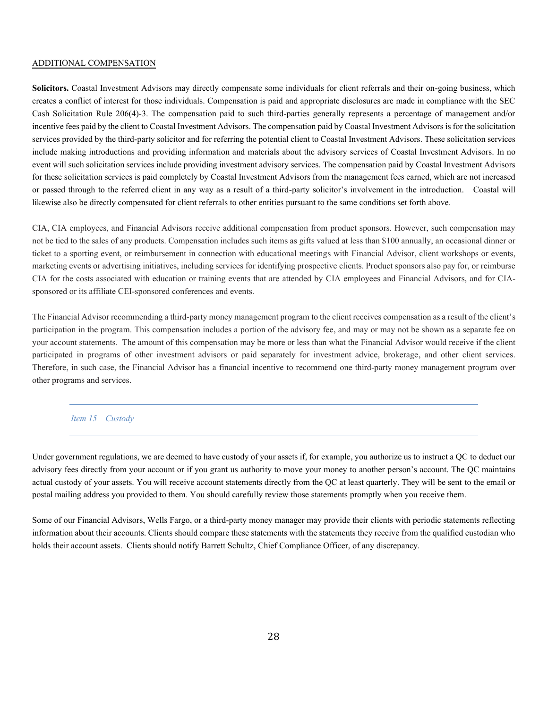### ADDITIONAL COMPENSATION

Solicitors. Coastal Investment Advisors may directly compensate some individuals for client referrals and their on-going business, which creates a conflict of interest for those individuals. Compensation is paid and appropriate disclosures are made in compliance with the SEC Cash Solicitation Rule 206(4)-3. The compensation paid to such third-parties generally represents a percentage of management and/or incentive fees paid by the client to Coastal Investment Advisors. The compensation paid by Coastal Investment Advisors is for the solicitation services provided by the third-party solicitor and for referring the potential client to Coastal Investment Advisors. These solicitation services include making introductions and providing information and materials about the advisory services of Coastal Investment Advisors. In no event will such solicitation services include providing investment advisory services. The compensation paid by Coastal Investment Advisors for these solicitation services is paid completely by Coastal Investment Advisors from the management fees earned, which are not increased or passed through to the referred client in any way as a result of a third-party solicitor's involvement in the introduction. Coastal will likewise also be directly compensated for client referrals to other entities pursuant to the same conditions set forth above.

CIA, CIA employees, and Financial Advisors receive additional compensation from product sponsors. However, such compensation may not be tied to the sales of any products. Compensation includes such items as gifts valued at less than \$100 annually, an occasional dinner or ticket to a sporting event, or reimbursement in connection with educational meetings with Financial Advisor, client workshops or events, marketing events or advertising initiatives, including services for identifying prospective clients. Product sponsors also pay for, or reimburse CIA for the costs associated with education or training events that are attended by CIA employees and Financial Advisors, and for CIAsponsored or its affiliate CEI-sponsored conferences and events.

The Financial Advisor recommending a third-party money management program to the client receives compensation as a result of the client's participation in the program. This compensation includes a portion of the advisory fee, and may or may not be shown as a separate fee on your account statements. The amount of this compensation may be more or less than what the Financial Advisor would receive if the client participated in programs of other investment advisors or paid separately for investment advice, brokerage, and other client services. Therefore, in such case, the Financial Advisor has a financial incentive to recommend one third-party money management program over other programs and services.

### <span id="page-30-0"></span>*Item 15 – Custody*

Under government regulations, we are deemed to have custody of your assets if, for example, you authorize us to instruct a QC to deduct our advisory fees directly from your account or if you grant us authority to move your money to another person's account. The QC maintains actual custody of your assets. You will receive account statements directly from the QC at least quarterly. They will be sent to the email or postal mailing address you provided to them. You should carefully review those statements promptly when you receive them.

Some of our Financial Advisors, Wells Fargo, or a third-party money manager may provide their clients with periodic statements reflecting information about their accounts. Clients should compare these statements with the statements they receive from the qualified custodian who holds their account assets. Clients should notify Barrett Schultz, Chief Compliance Officer, of any discrepancy.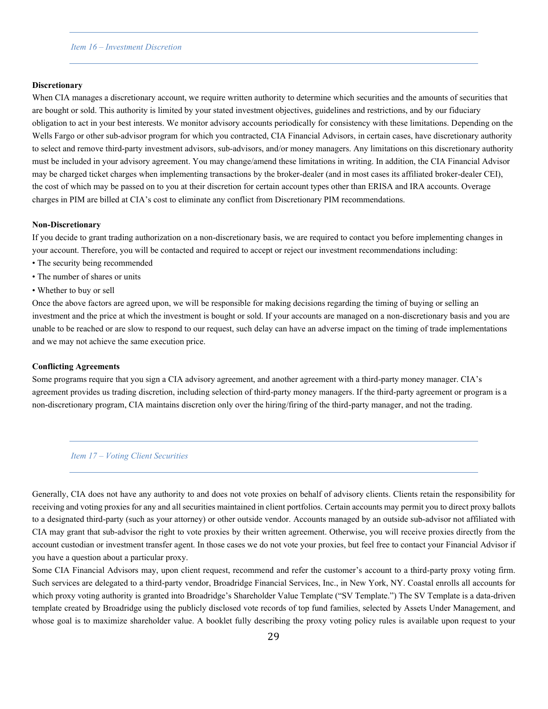### <span id="page-31-0"></span>*Item 16 – Investment Discretion*

#### **Discretionary**

When CIA manages a discretionary account, we require written authority to determine which securities and the amounts of securities that are bought or sold. This authority is limited by your stated investment objectives, guidelines and restrictions, and by our fiduciary obligation to act in your best interests. We monitor advisory accounts periodically for consistency with these limitations. Depending on the Wells Fargo or other sub-advisor program for which you contracted, CIA Financial Advisors, in certain cases, have discretionary authority to select and remove third-party investment advisors, sub-advisors, and/or money managers. Any limitations on this discretionary authority must be included in your advisory agreement. You may change/amend these limitations in writing. In addition, the CIA Financial Advisor may be charged ticket charges when implementing transactions by the broker-dealer (and in most cases its affiliated broker-dealer CEI), the cost of which may be passed on to you at their discretion for certain account types other than ERISA and IRA accounts. Overage charges in PIM are billed at CIA's cost to eliminate any conflict from Discretionary PIM recommendations.

#### **Non-Discretionary**

If you decide to grant trading authorization on a non-discretionary basis, we are required to contact you before implementing changes in your account. Therefore, you will be contacted and required to accept or reject our investment recommendations including:

- The security being recommended
- The number of shares or units
- Whether to buy or sell

Once the above factors are agreed upon, we will be responsible for making decisions regarding the timing of buying or selling an investment and the price at which the investment is bought or sold. If your accounts are managed on a non-discretionary basis and you are unable to be reached or are slow to respond to our request, such delay can have an adverse impact on the timing of trade implementations and we may not achieve the same execution price.

#### **Conflicting Agreements**

Some programs require that you sign a CIA advisory agreement, and another agreement with a third-party money manager. CIA's agreement provides us trading discretion, including selection of third-party money managers. If the third-party agreement or program is a non-discretionary program, CIA maintains discretion only over the hiring/firing of the third-party manager, and not the trading.

#### <span id="page-31-1"></span>*Item 17 – Voting Client Securities*

Generally, CIA does not have any authority to and does not vote proxies on behalf of advisory clients. Clients retain the responsibility for receiving and voting proxies for any and all securities maintained in client portfolios. Certain accounts may permit you to direct proxy ballots to a designated third-party (such as your attorney) or other outside vendor. Accounts managed by an outside sub-advisor not affiliated with CIA may grant that sub-advisor the right to vote proxies by their written agreement. Otherwise, you will receive proxies directly from the account custodian or investment transfer agent. In those cases we do not vote your proxies, but feel free to contact your Financial Advisor if you have a question about a particular proxy.

Some CIA Financial Advisors may, upon client request, recommend and refer the customer's account to a third-party proxy voting firm. Such services are delegated to a third-party vendor, Broadridge Financial Services, Inc., in New York, NY. Coastal enrolls all accounts for which proxy voting authority is granted into Broadridge's Shareholder Value Template ("SV Template.") The SV Template is a data-driven template created by Broadridge using the publicly disclosed vote records of top fund families, selected by Assets Under Management, and whose goal is to maximize shareholder value. A booklet fully describing the proxy voting policy rules is available upon request to your